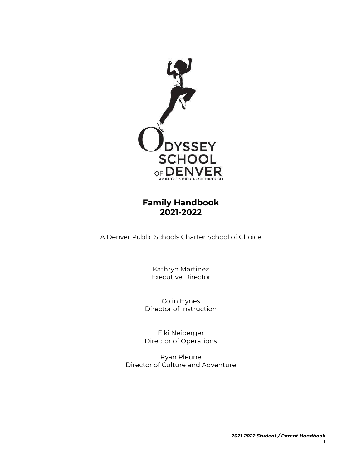

# **Family Handbook 2021-2022**

A Denver Public Schools Charter School of Choice

Kathryn Martinez Executive Director

Colin Hynes Director of Instruction

Elki Neiberger Director of Operations

Ryan Pleune Director of Culture and Adventure

1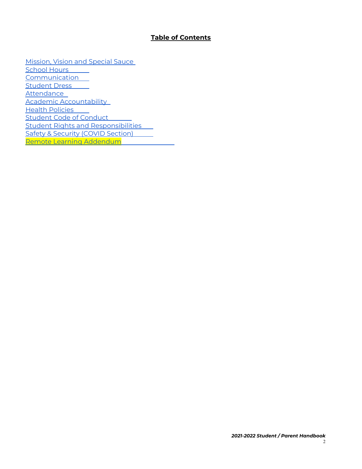#### **Table of Contents**

[Mission,](#page-2-0) Vision and Special Sauce [School](#page-7-0) Hours [Communication](#page-8-0) Student Dress [Attendance](#page-9-0) Academic [Accountability](#page-11-0) Health [Policies](#page-18-0) Student Code of [Conduct](#page-24-0) Student Rights and [Responsibilities](#page-36-0) Safety & Security (COVID [Section\)](#page-38-0) Remote Learning [Addendum](#page-40-0)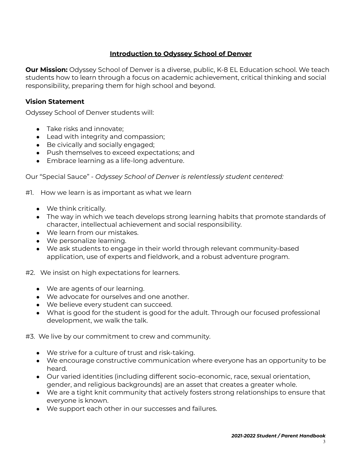# **Introduction to Odyssey School of Denver**

<span id="page-2-0"></span>**Our Mission:** Odyssey School of Denver is a diverse, public, K-8 EL Education school. We teach students how to learn through a focus on academic achievement, critical thinking and social responsibility, preparing them for high school and beyond.

### **Vision Statement**

Odyssey School of Denver students will:

- Take risks and innovate:
- Lead with integrity and compassion;
- Be civically and socially engaged;
- Push themselves to exceed expectations; and
- Embrace learning as a life-long adventure.

Our "Special Sauce" - *Odyssey School of Denver is relentlessly student centered:*

#1. How we learn is as important as what we learn

- We think critically.
- The way in which we teach develops strong learning habits that promote standards of character, intellectual achievement and social responsibility.
- We learn from our mistakes.
- We personalize learning.
- We ask students to engage in their world through relevant community-based application, use of experts and fieldwork, and a robust adventure program.
- #2. We insist on high expectations for learners.
	- We are agents of our learning.
	- We advocate for ourselves and one another.
	- We believe every student can succeed.
	- What is good for the student is good for the adult. Through our focused professional development, we walk the talk.

#3. We live by our commitment to crew and community.

- We strive for a culture of trust and risk-taking.
- We encourage constructive communication where everyone has an opportunity to be heard.
- Our varied identities (including different socio-economic, race, sexual orientation, gender, and religious backgrounds) are an asset that creates a greater whole.
- We are a tight knit community that actively fosters strong relationships to ensure that everyone is known.
- We support each other in our successes and failures.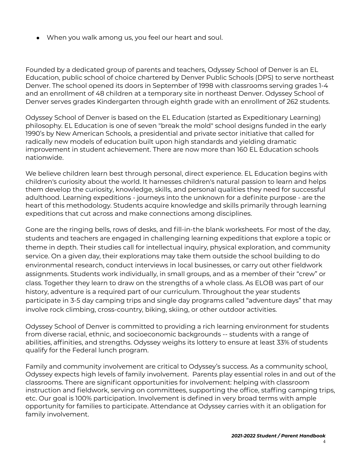• When you walk among us, you feel our heart and soul.

Founded by a dedicated group of parents and teachers, Odyssey School of Denver is an EL Education, public school of choice chartered by Denver Public Schools (DPS) to serve northeast Denver. The school opened its doors in September of 1998 with classrooms serving grades 1-4 and an enrollment of 48 children at a temporary site in northeast Denver. Odyssey School of Denver serves grades Kindergarten through eighth grade with an enrollment of 262 students.

Odyssey School of Denver is based on the EL Education (started as Expeditionary Learning) philosophy. EL Education is one of seven "break the mold" school designs funded in the early 1990's by New American Schools, a presidential and private sector initiative that called for radically new models of education built upon high standards and yielding dramatic improvement in student achievement. There are now more than 160 EL Education schools nationwide.

We believe children learn best through personal, direct experience. EL Education begins with children's curiosity about the world. It harnesses children's natural passion to learn and helps them develop the curiosity, knowledge, skills, and personal qualities they need for successful adulthood. Learning expeditions - journeys into the unknown for a definite purpose - are the heart of this methodology. Students acquire knowledge and skills primarily through learning expeditions that cut across and make connections among disciplines.

Gone are the ringing bells, rows of desks, and fill-in-the blank worksheets. For most of the day, students and teachers are engaged in challenging learning expeditions that explore a topic or theme in depth. Their studies call for intellectual inquiry, physical exploration, and community service. On a given day, their explorations may take them outside the school building to do environmental research, conduct interviews in local businesses, or carry out other fieldwork assignments. Students work individually, in small groups, and as a member of their "crew" or class. Together they learn to draw on the strengths of a whole class. As ELOB was part of our history, adventure is a required part of our curriculum. Throughout the year students participate in 3-5 day camping trips and single day programs called "adventure days" that may involve rock climbing, cross-country, biking, skiing, or other outdoor activities.

Odyssey School of Denver is committed to providing a rich learning environment for students from diverse racial, ethnic, and socioeconomic backgrounds -- students with a range of abilities, affinities, and strengths. Odyssey weighs its lottery to ensure at least 33% of students qualify for the Federal lunch program.

Family and community involvement are critical to Odyssey's success. As a community school, Odyssey expects high levels of family involvement. Parents play essential roles in and out of the classrooms. There are significant opportunities for involvement: helping with classroom instruction and fieldwork, serving on committees, supporting the office, staffing camping trips, etc. Our goal is 100% participation. Involvement is defined in very broad terms with ample opportunity for families to participate. Attendance at Odyssey carries with it an obligation for family involvement.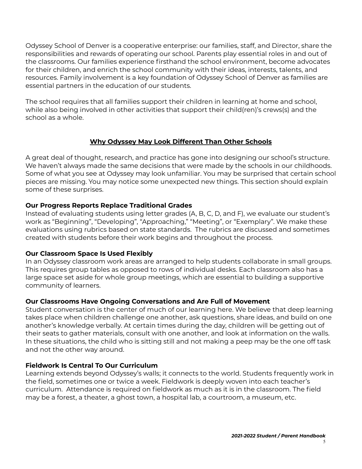Odyssey School of Denver is a cooperative enterprise: our families, staff, and Director, share the responsibilities and rewards of operating our school. Parents play essential roles in and out of the classrooms. Our families experience firsthand the school environment, become advocates for their children, and enrich the school community with their ideas, interests, talents, and resources. Family involvement is a key foundation of Odyssey School of Denver as families are essential partners in the education of our students.

The school requires that all families support their children in learning at home and school, while also being involved in other activities that support their child(ren)'s crews(s) and the school as a whole.

### **Why Odyssey May Look Different Than Other Schools**

A great deal of thought, research, and practice has gone into designing our school's structure. We haven't always made the same decisions that were made by the schools in our childhoods. Some of what you see at Odyssey may look unfamiliar. You may be surprised that certain school pieces are missing. You may notice some unexpected new things. This section should explain some of these surprises.

### **Our Progress Reports Replace Traditional Grades**

Instead of evaluating students using letter grades (A, B, C, D, and F), we evaluate our student's work as "Beginning", "Developing", "Approaching," "Meeting", or "Exemplary". We make these evaluations using rubrics based on state standards. The rubrics are discussed and sometimes created with students before their work begins and throughout the process.

### **Our Classroom Space Is Used Flexibly**

In an Odyssey classroom work areas are arranged to help students collaborate in small groups. This requires group tables as opposed to rows of individual desks. Each classroom also has a large space set aside for whole group meetings, which are essential to building a supportive community of learners.

### **Our Classrooms Have Ongoing Conversations and Are Full of Movement**

Student conversation is the center of much of our learning here. We believe that deep learning takes place when children challenge one another, ask questions, share ideas, and build on one another's knowledge verbally. At certain times during the day, children will be getting out of their seats to gather materials, consult with one another, and look at information on the walls. In these situations, the child who is sitting still and not making a peep may be the one off task and not the other way around.

### **Fieldwork Is Central To Our Curriculum**

Learning extends beyond Odyssey's walls; it connects to the world. Students frequently work in the field, sometimes one or twice a week. Fieldwork is deeply woven into each teacher's curriculum. Attendance is required on fieldwork as much as it is in the classroom. The field may be a forest, a theater, a ghost town, a hospital lab, a courtroom, a museum, etc.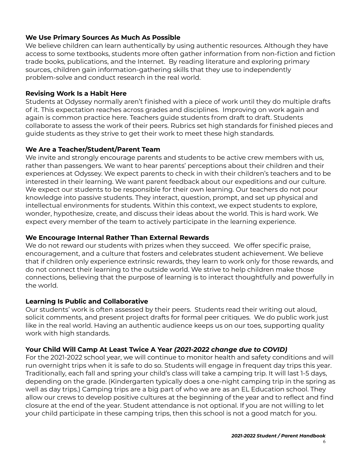# **We Use Primary Sources As Much As Possible**

We believe children can learn authentically by using authentic resources. Although they have access to some textbooks, students more often gather information from non-fiction and fiction trade books, publications, and the Internet. By reading literature and exploring primary sources, children gain information-gathering skills that they use to independently problem-solve and conduct research in the real world.

#### **Revising Work Is a Habit Here**

Students at Odyssey normally aren't finished with a piece of work until they do multiple drafts of it. This expectation reaches across grades and disciplines. Improving on work again and again is common practice here. Teachers guide students from draft to draft. Students collaborate to assess the work of their peers. Rubrics set high standards for finished pieces and guide students as they strive to get their work to meet these high standards.

### **We Are a Teacher/Student/Parent Team**

We invite and strongly encourage parents and students to be active crew members with us, rather than passengers. We want to hear parents' perceptions about their children and their experiences at Odyssey. We expect parents to check in with their children's teachers and to be interested in their learning. We want parent feedback about our expeditions and our culture. We expect our students to be responsible for their own learning. Our teachers do not pour knowledge into passive students. They interact, question, prompt, and set up physical and intellectual environments for students. Within this context, we expect students to explore, wonder, hypothesize, create, and discuss their ideas about the world. This is hard work. We expect every member of the team to actively participate in the learning experience.

#### **We Encourage Internal Rather Than External Rewards**

We do not reward our students with prizes when they succeed. We offer specific praise, encouragement, and a culture that fosters and celebrates student achievement. We believe that if children only experience extrinsic rewards, they learn to work only for those rewards, and do not connect their learning to the outside world. We strive to help children make those connections, believing that the purpose of learning is to interact thoughtfully and powerfully in the world.

### **Learning Is Public and Collaborative**

Our students' work is often assessed by their peers. Students read their writing out aloud, solicit comments, and present project drafts for formal peer critiques. We do public work just like in the real world. Having an authentic audience keeps us on our toes, supporting quality work with high standards.

### **Your Child Will Camp At Least Twice A Year** *(2021-2022 change due to COVID)*

For the 2021-2022 school year, we will continue to monitor health and safety conditions and will run overnight trips when it is safe to do so. Students will engage in frequent day trips this year. Traditionally, each fall and spring your child's class will take a camping trip. It will last 1-5 days, depending on the grade. (Kindergarten typically does a one-night camping trip in the spring as well as day trips.) Camping trips are a big part of who we are as an EL Education school. They allow our crews to develop positive cultures at the beginning of the year and to reflect and find closure at the end of the year. Student attendance is not optional. If you are not willing to let your child participate in these camping trips, then this school is not a good match for you.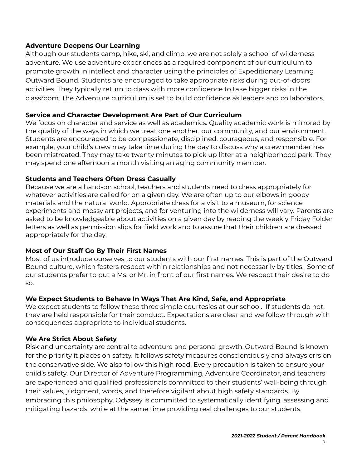### **Adventure Deepens Our Learning**

Although our students camp, hike, ski, and climb, we are not solely a school of wilderness adventure. We use adventure experiences as a required component of our curriculum to promote growth in intellect and character using the principles of Expeditionary Learning Outward Bound. Students are encouraged to take appropriate risks during out-of-doors activities. They typically return to class with more confidence to take bigger risks in the classroom. The Adventure curriculum is set to build confidence as leaders and collaborators.

### **Service and Character Development Are Part of Our Curriculum**

We focus on character and service as well as academics. Quality academic work is mirrored by the quality of the ways in which we treat one another, our community, and our environment. Students are encouraged to be compassionate, disciplined, courageous, and responsible. For example, your child's crew may take time during the day to discuss why a crew member has been mistreated. They may take twenty minutes to pick up litter at a neighborhood park. They may spend one afternoon a month visiting an aging community member.

### **Students and Teachers Often Dress Casually**

Because we are a hand-on school, teachers and students need to dress appropriately for whatever activities are called for on a given day. We are often up to our elbows in goopy materials and the natural world. Appropriate dress for a visit to a museum, for science experiments and messy art projects, and for venturing into the wilderness will vary. Parents are asked to be knowledgeable about activities on a given day by reading the weekly Friday Folder letters as well as permission slips for field work and to assure that their children are dressed appropriately for the day.

# **Most of Our Staff Go By Their First Names**

Most of us introduce ourselves to our students with our first names. This is part of the Outward Bound culture, which fosters respect within relationships and not necessarily by titles. Some of our students prefer to put a Ms. or Mr. in front of our first names. We respect their desire to do so.

### **We Expect Students to Behave In Ways That Are Kind, Safe, and Appropriate**

We expect students to follow these three simple courtesies at our school. If students do not, they are held responsible for their conduct. Expectations are clear and we follow through with consequences appropriate to individual students.

### **We Are Strict About Safety**

Risk and uncertainty are central to adventure and personal growth. Outward Bound is known for the priority it places on safety. It follows safety measures conscientiously and always errs on the conservative side. We also follow this high road. Every precaution is taken to ensure your child's safety. Our Director of Adventure Programming, Adventure Coordinator, and teachers are experienced and qualified professionals committed to their students' well-being through their values, judgment, words, and therefore vigilant about high safety standards. By embracing this philosophy, Odyssey is committed to systematically identifying, assessing and mitigating hazards, while at the same time providing real challenges to our students.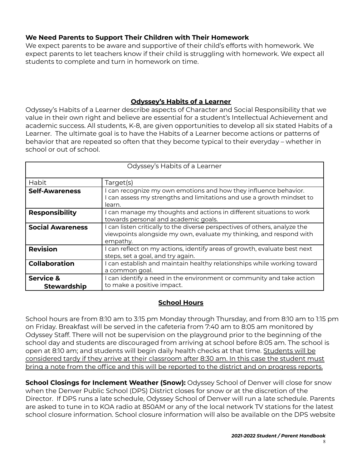# **We Need Parents to Support Their Children with Their Homework**

We expect parents to be aware and supportive of their child's efforts with homework. We expect parents to let teachers know if their child is struggling with homework. We expect all students to complete and turn in homework on time.

# **Odyssey's Habits of a Learner**

Odyssey's Habits of a Learner describe aspects of Character and Social Responsibility that we value in their own right and believe are essential for a student's Intellectual Achievement and academic success. All students, K-8, are given opportunities to develop all six stated Habits of a Learner. The ultimate goal is to have the Habits of a Learner become actions or patterns of behavior that are repeated so often that they become typical to their everyday – whether in school or out of school.

| Odyssey's Habits of a Learner              |                                                                                                                                                               |  |
|--------------------------------------------|---------------------------------------------------------------------------------------------------------------------------------------------------------------|--|
| Habit                                      | Target(s)                                                                                                                                                     |  |
| <b>Self-Awareness</b>                      | can recognize my own emotions and how they influence behavior.<br>can assess my strengths and limitations and use a growth mindset to<br>learn.               |  |
| <b>Responsibility</b>                      | can manage my thoughts and actions in different situations to work<br>towards personal and academic goals.                                                    |  |
| <b>Social Awareness</b>                    | I can listen critically to the diverse perspectives of others, analyze the<br>viewpoints alongside my own, evaluate my thinking, and respond with<br>empathy. |  |
| <b>Revision</b>                            | I can reflect on my actions, identify areas of growth, evaluate best next<br>steps, set a goal, and try again.                                                |  |
| <b>Collaboration</b>                       | can establish and maintain healthy relationships while working toward<br>a common goal.                                                                       |  |
| <b>Service &amp;</b><br><b>Stewardship</b> | can identify a need in the environment or community and take action<br>to make a positive impact.                                                             |  |

### **School Hours**

<span id="page-7-0"></span>School hours are from 8:10 am to 3:15 pm Monday through Thursday, and from 8:10 am to 1:15 pm on Friday. Breakfast will be served in the cafeteria from 7:40 am to 8:05 am monitored by Odyssey Staff. There will not be supervision on the playground prior to the beginning of the school day and students are discouraged from arriving at school before 8:05 am. The school is open at 8:10 am; and students will begin daily health checks at that time. Students will be considered tardy if they arrive at their classroom after 8:30 am. In this case the student must bring a note from the office and this will be reported to the district and on progress reports.

**School Closings for Inclement Weather (Snow):** Odyssey School of Denver will close for snow when the Denver Public School (DPS) District closes for snow or at the discretion of the Director. If DPS runs a late schedule, Odyssey School of Denver will run a late schedule. Parents are asked to tune in to KOA radio at 850AM or any of the local network TV stations for the latest school closure information. School closure information will also be available on the DPS website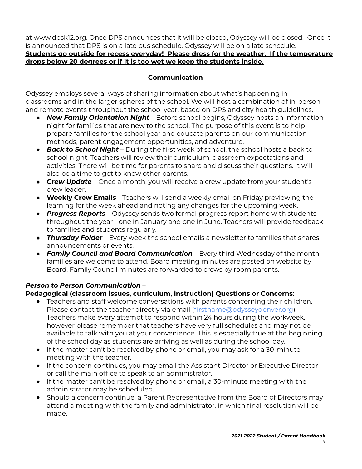at www.dpsk12.org. Once DPS announces that it will be closed, Odyssey will be closed. Once it is announced that DPS is on a late bus schedule, Odyssey will be on a late schedule. **Students go outside for recess everyday! Please dress for the weather. If the temperature**

# **drops below 20 degrees or if it is too wet we keep the students inside.**

# **Communication**

<span id="page-8-0"></span>Odyssey employs several ways of sharing information about what's happening in classrooms and in the larger spheres of the school. We will host a combination of in-person and remote events throughout the school year, based on DPS and city health guidelines.

- *New Family Orientation Night* Before school begins, Odyssey hosts an information night for families that are new to the school. The purpose of this event is to help prepare families for the school year and educate parents on our communication methods, parent engagement opportunities, and adventure.
- *Back to School Night* During the first week of school, the school hosts a back to school night. Teachers will review their curriculum, classroom expectations and activities. There will be time for parents to share and discuss their questions. It will also be a time to get to know other parents.
- *Crew Update* Once a month, you will receive a crew update from your student's crew leader.
- **● Weekly Crew Emails** Teachers will send a weekly email on Friday previewing the learning for the week ahead and noting any changes for the upcoming week.
- *Progress Reports* Odyssey sends two formal progress report home with students throughout the year - one in January and one in June. Teachers will provide feedback to families and students regularly.
- *Thursday Folder* Every week the school emails a newsletter to families that shares announcements or events.
- *Family Council and Board Communication* Every third Wednesday of the month, families are welcome to attend. Board meeting minutes are posted on website by Board. Family Council minutes are forwarded to crews by room parents.

# *Person to Person Communication* –

# **Pedagogical (classroom issues, curriculum, instruction) Questions or Concerns**:

- Teachers and staff welcome conversations with parents concerning their children. Please contact the teacher directly via email (firstname@odysseydenver.org). Teachers make every attempt to respond within 24 hours during the workweek, however please remember that teachers have very full schedules and may not be available to talk with you at your convenience. This is especially true at the beginning of the school day as students are arriving as well as during the school day.
- If the matter can't be resolved by phone or email, you may ask for a 30-minute meeting with the teacher.
- If the concern continues, you may email the Assistant Director or Executive Director or call the main office to speak to an administrator.
- If the matter can't be resolved by phone or email, a 30-minute meeting with the administrator may be scheduled.
- Should a concern continue, a Parent Representative from the Board of Directors may attend a meeting with the family and administrator, in which final resolution will be made.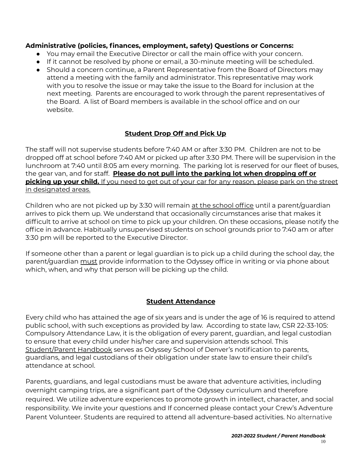### **Administrative (policies, finances, employment, safety) Questions or Concerns:**

- You may email the Executive Director or call the main office with your concern.
- If it cannot be resolved by phone or email, a 30-minute meeting will be scheduled.
- Should a concern continue, a Parent Representative from the Board of Directors may attend a meeting with the family and administrator. This representative may work with you to resolve the issue or may take the issue to the Board for inclusion at the next meeting. Parents are encouraged to work through the parent representatives of the Board. A list of Board members is available in the school office and on our website.

# **Student Drop Off and Pick Up**

The staff will not supervise students before 7:40 AM or after 3:30 PM. Children are not to be dropped off at school before 7:40 AM or picked up after 3:30 PM. There will be supervision in the lunchroom at 7:40 until 8:05 am every morning. The parking lot is reserved for our fleet of buses, the gear van, and for staff. **Please do not pull into the parking lot when dropping off or picking up your child.** If you need to get out of your car for any reason, please park on the street in designated areas.

Children who are not picked up by 3:30 will remain at the school office until a parent/guardian arrives to pick them up. We understand that occasionally circumstances arise that makes it difficult to arrive at school on time to pick up your children. On these occasions, please notify the office in advance. Habitually unsupervised students on school grounds prior to 7:40 am or after 3:30 pm will be reported to the Executive Director.

If someone other than a parent or legal guardian is to pick up a child during the school day, the parent/guardian must provide information to the Odyssey office in writing or via phone about which, when, and why that person will be picking up the child.

# **Student Attendance**

<span id="page-9-0"></span>Every child who has attained the age of six years and is under the age of 16 is required to attend public school, with such exceptions as provided by law. According to state law, CSR 22-33-105: Compulsory Attendance Law, it is the obligation of every parent, guardian, and legal custodian to ensure that every child under his/her care and supervision attends school. This Student/Parent Handbook serves as Odyssey School of Denver's notification to parents, guardians, and legal custodians of their obligation under state law to ensure their child's attendance at school.

Parents, guardians, and legal custodians must be aware that adventure activities, including overnight camping trips, are a significant part of the Odyssey curriculum and therefore required. We utilize adventure experiences to promote growth in intellect, character, and social responsibility. We invite your questions and If concerned please contact your Crew's Adventure Parent Volunteer. Students are required to attend all adventure-based activities. No alternative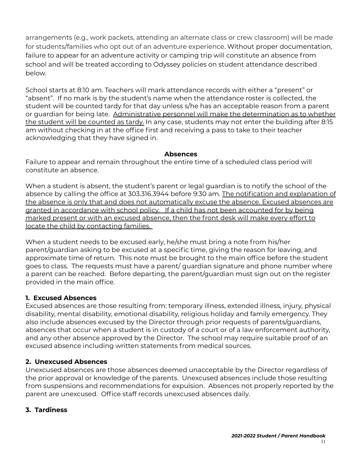arrangements (e.g., work packets, attending an alternate class or crew classroom) will be made for students/families who opt out of an adventure experience. Without proper documentation, failure to appear for an adventure activity or camping trip will constitute an absence from school and will be treated according to Odyssey policies on student attendance described below.

School starts at 8:10 am. Teachers will mark attendance records with either a "present" or "absent". If no mark is by the student's name when the attendance roster is collected, the student will be counted tardy for that day unless s/he has an acceptable reason from a parent or guardian for being late. Administrative personnel will make the determination as to whether the student will be counted as tardy. In any case, students may not enter the building after 8:15 am without checking in at the office first and receiving a pass to take to their teacher acknowledging that they have signed in.

#### **Absences**

Failure to appear and remain throughout the entire time of a scheduled class period will constitute an absence.

When a student is absent, the student's parent or legal guardian is to notify the school of the absence by calling the office at 303.316.3944 before 9:30 am. The notification and explanation of the absence is only that and does not automatically excuse the absence. Excused absences are granted in accordance with school policy. If a child has not been accounted for by being marked present or with an excused absence, then the front desk will make every effort to locate the child by contacting families.

When a student needs to be excused early, he/she must bring a note from his/her parent/guardian asking to be excused at a specific time, giving the reason for leaving, and approximate time of return. This note must be brought to the main office before the student goes to class. The requests must have a parent/ guardian signature and phone number where a parent can be reached. Before departing, the parent/guardian must sign out on the register provided in the main office.

# **1. Excused Absences**

Excused absences are those resulting from: temporary illness, extended illness, injury, physical disability, mental disability, emotional disability, religious holiday and family emergency. They also include absences excused by the Director through prior requests of parents/guardians, absences that occur when a student is in custody of a court or of a law enforcement authority, and any other absence approved by the Director. The school may require suitable proof of an excused absence including written statements from medical sources.

### **2. Unexcused Absences**

Unexcused absences are those absences deemed unacceptable by the Director regardless of the prior approval or knowledge of the parents. Unexcused absences include those resulting from suspensions and recommendations for expulsion. Absences not properly reported by the parent are unexcused. Office staff records unexcused absences daily.

### **3. Tardiness**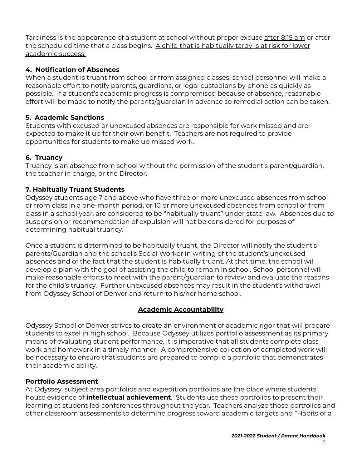Tardiness is the appearance of a student at school without proper excuse after 8:15 am or after the scheduled time that a class begins. A child that is habitually tardy is at risk for lower academic success.

# **4. Notification of Absences**

When a student is truant from school or from assigned classes, school personnel will make a reasonable effort to notify parents, guardians, or legal custodians by phone as quickly as possible. If a student's academic progress is compromised because of absence, reasonable effort will be made to notify the parents/guardian in advance so remedial action can be taken.

# **5. Academic Sanctions**

Students with excused or unexcused absences are responsible for work missed and are expected to make it up for their own benefit. Teachers are not required to provide opportunities for students to make up missed work.

# **6. Truancy**

Truancy is an absence from school without the permission of the student's parent/guardian, the teacher in charge, or the Director.

# **7. Habitually Truant Students**

Odyssey students age 7 and above who have three or more unexcused absences from school or from class in a one-month period, or 10 or more unexcused absences from school or from class in a school year, are considered to be "habitually truant" under state law. Absences due to suspension or recommendation of expulsion will not be considered for purposes of determining habitual truancy.

Once a student is determined to be habitually truant, the Director will notify the student's parents/Guardian and the school's Social Worker in writing of the student's unexcused absences and of the fact that the student is habitually truant. At that time, the school will develop a plan with the goal of assisting the child to remain in school. School personnel will make reasonable efforts to meet with the parent/guardian to review and evaluate the reasons for the child's truancy. Further unexcused absences may result in the student's withdrawal from Odyssey School of Denver and return to his/her home school.

# **Academic Accountability**

<span id="page-11-0"></span>Odyssey School of Denver strives to create an environment of academic rigor that will prepare students to excel in high school. Because Odyssey utilizes portfolio assessment as its primary means of evaluating student performance, it is imperative that all students complete class work and homework in a timely manner. A comprehensive collection of completed work will be necessary to ensure that students are prepared to compile a portfolio that demonstrates their academic ability.

### **Portfolio Assessment**

At Odyssey, subject area portfolios and expedition portfolios are the place where students house evidence of **intellectual achievement**. Students use these portfolios to present their learning at student led conferences throughout the year. Teachers analyze those portfolios and other classroom assessments to determine progress toward academic targets and "Habits of a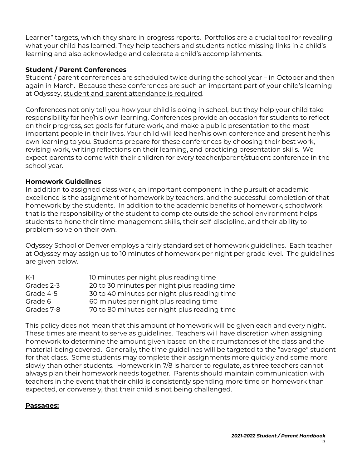Learner" targets, which they share in progress reports. Portfolios are a crucial tool for revealing what your child has learned. They help teachers and students notice missing links in a child's learning and also acknowledge and celebrate a child's accomplishments.

# **Student / Parent Conferences**

Student / parent conferences are scheduled twice during the school year – in October and then again in March. Because these conferences are such an important part of your child's learning at Odyssey, student and parent attendance is required.

Conferences not only tell you how your child is doing in school, but they help your child take responsibility for her/his own learning. Conferences provide an occasion for students to reflect on their progress, set goals for future work, and make a public presentation to the most important people in their lives. Your child will lead her/his own conference and present her/his own learning to you. Students prepare for these conferences by choosing their best work, revising work, writing reflections on their learning, and practicing presentation skills. We expect parents to come with their children for every teacher/parent/student conference in the school year.

### **Homework Guidelines**

In addition to assigned class work, an important component in the pursuit of academic excellence is the assignment of homework by teachers, and the successful completion of that homework by the students. In addition to the academic benefits of homework, schoolwork that is the responsibility of the student to complete outside the school environment helps students to hone their time-management skills, their self-discipline, and their ability to problem-solve on their own.

Odyssey School of Denver employs a fairly standard set of homework guidelines. Each teacher at Odyssey may assign up to 10 minutes of homework per night per grade level. The guidelines are given below.

| $K-1$      | 10 minutes per night plus reading time       |
|------------|----------------------------------------------|
| Grades 2-3 | 20 to 30 minutes per night plus reading time |
| Grade 4-5  | 30 to 40 minutes per night plus reading time |
| Grade 6    | 60 minutes per night plus reading time       |
| Grades 7-8 | 70 to 80 minutes per night plus reading time |

This policy does not mean that this amount of homework will be given each and every night. These times are meant to serve as guidelines. Teachers will have discretion when assigning homework to determine the amount given based on the circumstances of the class and the material being covered. Generally, the time guidelines will be targeted to the "average" student for that class. Some students may complete their assignments more quickly and some more slowly than other students. Homework in 7/8 is harder to regulate, as three teachers cannot always plan their homework needs together. Parents should maintain communication with teachers in the event that their child is consistently spending more time on homework than expected, or conversely, that their child is not being challenged.

### **Passages:**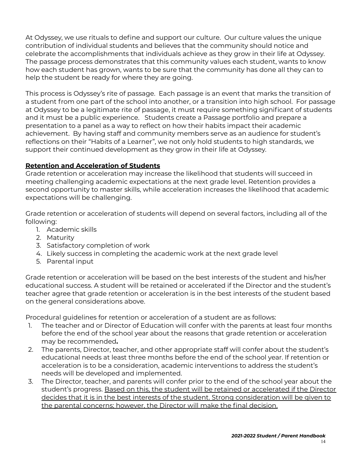At Odyssey, we use rituals to define and support our culture. Our culture values the unique contribution of individual students and believes that the community should notice and celebrate the accomplishments that individuals achieve as they grow in their life at Odyssey. The passage process demonstrates that this community values each student, wants to know how each student has grown, wants to be sure that the community has done all they can to help the student be ready for where they are going.

This process is Odyssey's rite of passage. Each passage is an event that marks the transition of a student from one part of the school into another, or a transition into high school. For passage at Odyssey to be a legitimate rite of passage, it must require something significant of students and it must be a public experience. Students create a Passage portfolio and prepare a presentation to a panel as a way to reflect on how their habits impact their academic achievement. By having staff and community members serve as an audience for student's reflections on their "Habits of a Learner", we not only hold students to high standards, we support their continued development as they grow in their life at Odyssey.

### **Retention and Acceleration of Students**

Grade retention or acceleration may increase the likelihood that students will succeed in meeting challenging academic expectations at the next grade level. Retention provides a second opportunity to master skills, while acceleration increases the likelihood that academic expectations will be challenging.

Grade retention or acceleration of students will depend on several factors, including all of the following:

- 1. Academic skills
- 2. Maturity
- 3. Satisfactory completion of work
- 4. Likely success in completing the academic work at the next grade level
- 5. Parental input

Grade retention or acceleration will be based on the best interests of the student and his/her educational success. A student will be retained or accelerated if the Director and the student's teacher agree that grade retention or acceleration is in the best interests of the student based on the general considerations above.

Procedural guidelines for retention or acceleration of a student are as follows:

- 1. The teacher and or Director of Education will confer with the parents at least four months before the end of the school year about the reasons that grade retention or acceleration may be recommended**.**
- 2. The parents, Director, teacher, and other appropriate staff will confer about the student's educational needs at least three months before the end of the school year. If retention or acceleration is to be a consideration, academic interventions to address the student's needs will be developed and implemented.
- 3. The Director, teacher, and parents will confer prior to the end of the school year about the student's progress. Based on this, the student will be retained or accelerated if the Director decides that it is in the best interests of the student. Strong consideration will be given to the parental concerns; however, the Director will make the final decision.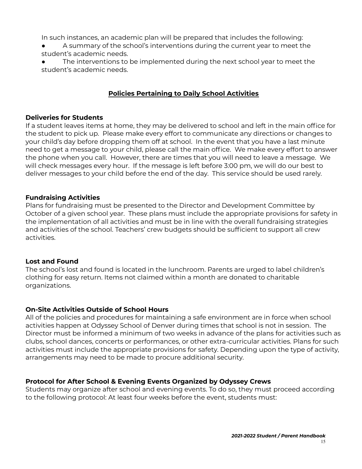In such instances, an academic plan will be prepared that includes the following:

- A summary of the school's interventions during the current year to meet the student's academic needs.
- The interventions to be implemented during the next school year to meet the student's academic needs.

# **Policies Pertaining to Daily School Activities**

#### **Deliveries for Students**

If a student leaves items at home, they may be delivered to school and left in the main office for the student to pick up. Please make every effort to communicate any directions or changes to your child's day before dropping them off at school. In the event that you have a last minute need to get a message to your child, please call the main office. We make every effort to answer the phone when you call. However, there are times that you will need to leave a message. We will check messages every hour. If the message is left before 3:00 pm, we will do our best to deliver messages to your child before the end of the day. This service should be used rarely.

### **Fundraising Activities**

Plans for fundraising must be presented to the Director and Development Committee by October of a given school year. These plans must include the appropriate provisions for safety in the implementation of all activities and must be in line with the overall fundraising strategies and activities of the school. Teachers' crew budgets should be sufficient to support all crew activities.

#### **Lost and Found**

The school's lost and found is located in the lunchroom. Parents are urged to label children's clothing for easy return. Items not claimed within a month are donated to charitable organizations.

### **On-Site Activities Outside of School Hours**

All of the policies and procedures for maintaining a safe environment are in force when school activities happen at Odyssey School of Denver during times that school is not in session. The Director must be informed a minimum of two weeks in advance of the plans for activities such as clubs, school dances, concerts or performances, or other extra-curricular activities. Plans for such activities must include the appropriate provisions for safety. Depending upon the type of activity, arrangements may need to be made to procure additional security.

### **Protocol for After School & Evening Events Organized by Odyssey Crews**

Students may organize after school and evening events. To do so, they must proceed according to the following protocol: At least four weeks before the event, students must: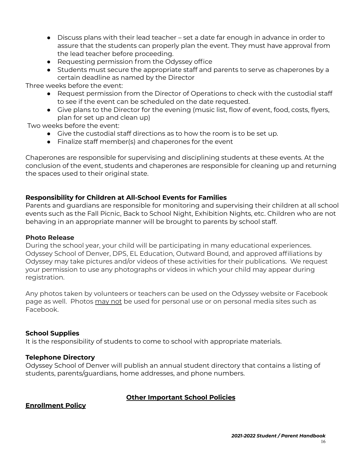- Discuss plans with their lead teacher set a date far enough in advance in order to assure that the students can properly plan the event. They must have approval from the lead teacher before proceeding.
- Requesting permission from the Odyssey office
- Students must secure the appropriate staff and parents to serve as chaperones by a certain deadline as named by the Director

Three weeks before the event:

- Request permission from the Director of Operations to check with the custodial staff to see if the event can be scheduled on the date requested.
- Give plans to the Director for the evening (music list, flow of event, food, costs, flyers, plan for set up and clean up)

Two weeks before the event:

- Give the custodial staff directions as to how the room is to be set up.
- Finalize staff member(s) and chaperones for the event

Chaperones are responsible for supervising and disciplining students at these events. At the conclusion of the event, students and chaperones are responsible for cleaning up and returning the spaces used to their original state.

# **Responsibility for Children at All-School Events for Families**

Parents and guardians are responsible for monitoring and supervising their children at all school events such as the Fall Picnic, Back to School Night, Exhibition Nights, etc. Children who are not behaving in an appropriate manner will be brought to parents by school staff.

### **Photo Release**

During the school year, your child will be participating in many educational experiences. Odyssey School of Denver, DPS, EL Education, Outward Bound, and approved affiliations by Odyssey may take pictures and/or videos of these activities for their publications. We request your permission to use any photographs or videos in which your child may appear during registration.

Any photos taken by volunteers or teachers can be used on the Odyssey website or Facebook page as well. Photos may not be used for personal use or on personal media sites such as Facebook.

### **School Supplies**

It is the responsibility of students to come to school with appropriate materials.

### **Telephone Directory**

Odyssey School of Denver will publish an annual student directory that contains a listing of students, parents/guardians, home addresses, and phone numbers.

### **Other Important School Policies**

**Enrollment Policy**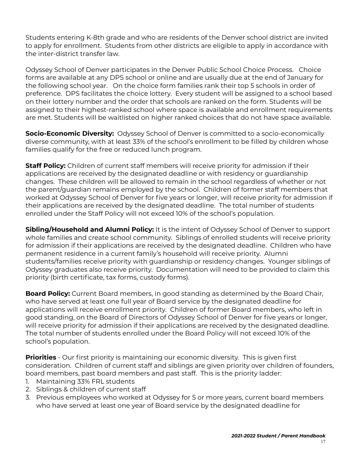Students entering K-8th grade and who are residents of the Denver school district are invited to apply for enrollment. Students from other districts are eligible to apply in accordance with the inter-district transfer law.

Odyssey School of Denver participates in the Denver Public School Choice Process. Choice forms are available at any DPS school or online and are usually due at the end of January for the following school year. On the choice form families rank their top 5 schools in order of preference. DPS facilitates the choice lottery. Every student will be assigned to a school based on their lottery number and the order that schools are ranked on the form. Students will be assigned to their highest-ranked school where space is available and enrollment requirements are met. Students will be waitlisted on higher ranked choices that do not have space available.

**Socio-Economic Diversity:** Odyssey School of Denver is committed to a socio-economically diverse community, with at least 33% of the school's enrollment to be filled by children whose families qualify for the free or reduced lunch program.

**Staff Policy:** Children of current staff members will receive priority for admission if their applications are received by the designated deadline or with residency or guardianship changes. These children will be allowed to remain in the school regardless of whether or not the parent/guardian remains employed by the school. Children of former staff members that worked at Odyssey School of Denver for five years or longer, will receive priority for admission if their applications are received by the designated deadline. The total number of students enrolled under the Staff Policy will not exceed 10% of the school's population.

**Sibling/Household and Alumni Policy:** It is the intent of Odyssey School of Denver to support whole families and create school community. Siblings of enrolled students will receive priority for admission if their applications are received by the designated deadline. Children who have permanent residence in a current family's household will receive priority. Alumni students/families receive priority with guardianship or residency changes. Younger siblings of Odyssey graduates also receive priority. Documentation will need to be provided to claim this priority (birth certificate, tax forms, custody forms).

**Board Policy:** Current Board members, in good standing as determined by the Board Chair, who have served at least one full year of Board service by the designated deadline for applications will receive enrollment priority. Children of former Board members, who left in good standing, on the Board of Directors of Odyssey School of Denver for five years or longer, will receive priority for admission if their applications are received by the designated deadline. The total number of students enrolled under the Board Policy will not exceed 10% of the school's population.

**Priorities** - Our first priority is maintaining our economic diversity. This is given first consideration. Children of current staff and siblings are given priority over children of founders, board members, past board members and past staff. This is the priority ladder:

- 1. Maintaining 33% FRL students
- 2. Siblings & children of current staff
- 3. Previous employees who worked at Odyssey for 5 or more years, current board members who have served at least one year of Board service by the designated deadline for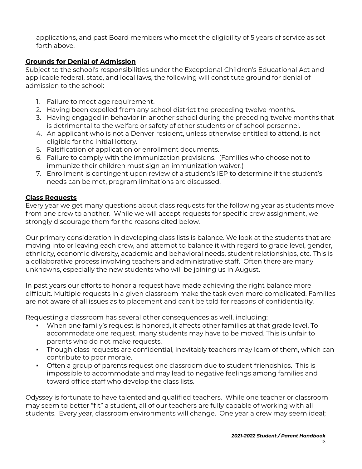applications, and past Board members who meet the eligibility of 5 years of service as set forth above.

# **Grounds for Denial of Admission**

Subject to the school's responsibilities under the Exceptional Children's Educational Act and applicable federal, state, and local laws, the following will constitute ground for denial of admission to the school:

- 1. Failure to meet age requirement.
- 2. Having been expelled from any school district the preceding twelve months.
- 3. Having engaged in behavior in another school during the preceding twelve months that is detrimental to the welfare or safety of other students or of school personnel.
- 4. An applicant who is not a Denver resident, unless otherwise entitled to attend, is not eligible for the initial lottery.
- 5. Falsification of application or enrollment documents.
- 6. Failure to comply with the immunization provisions. (Families who choose not to immunize their children must sign an immunization waiver.)
- 7. Enrollment is contingent upon review of a student's IEP to determine if the student's needs can be met, program limitations are discussed.

# **Class Requests**

Every year we get many questions about class requests for the following year as students move from one crew to another. While we will accept requests for specific crew assignment, we strongly discourage them for the reasons cited below.

Our primary consideration in developing class lists is balance. We look at the students that are moving into or leaving each crew, and attempt to balance it with regard to grade level, gender, ethnicity, economic diversity, academic and behavioral needs, student relationships, etc. This is a collaborative process involving teachers and administrative staff. Often there are many unknowns, especially the new students who will be joining us in August.

In past years our efforts to honor a request have made achieving the right balance more difficult. Multiple requests in a given classroom make the task even more complicated. Families are not aware of all issues as to placement and can't be told for reasons of confidentiality.

Requesting a classroom has several other consequences as well, including:

- When one family's request is honored, it affects other families at that grade level. To accommodate one request, many students may have to be moved. This is unfair to parents who do not make requests.
- Though class requests are confidential, inevitably teachers may learn of them, which can contribute to poor morale.
- Often a group of parents request one classroom due to student friendships. This is impossible to accommodate and may lead to negative feelings among families and toward office staff who develop the class lists.

Odyssey is fortunate to have talented and qualified teachers. While one teacher or classroom may seem to better "fit" a student, all of our teachers are fully capable of working with all students. Every year, classroom environments will change. One year a crew may seem ideal;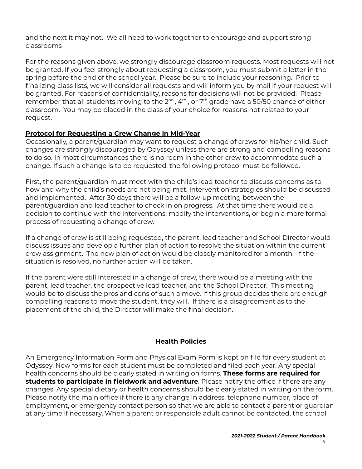and the next it may not. We all need to work together to encourage and support strong classrooms

For the reasons given above, we strongly discourage classroom requests. Most requests will not be granted. If you feel strongly about requesting a classroom, you must submit a letter in the spring before the end of the school year. Please be sure to include your reasoning. Prior to finalizing class lists, we will consider all requests and will inform you by mail if your request will be granted. For reasons of confidentiality, reasons for decisions will not be provided. Please remember that all students moving to the 2 $^{\text{nd}}$  , 4th , or 7th grade have a 50/50 chance of either classroom. You may be placed in the class of your choice for reasons not related to your request.

### **Protocol for Requesting a Crew Change in Mid-Year**

Occasionally, a parent/guardian may want to request a change of crews for his/her child. Such changes are strongly discouraged by Odyssey unless there are strong and compelling reasons to do so. In most circumstances there is no room in the other crew to accommodate such a change. If such a change is to be requested, the following protocol must be followed.

First, the parent/guardian must meet with the child's lead teacher to discuss concerns as to how and why the child's needs are not being met. Intervention strategies should be discussed and implemented. After 30 days there will be a follow-up meeting between the parent/guardian and lead teacher to check in on progress. At that time there would be a decision to continue with the interventions, modify the interventions, or begin a more formal process of requesting a change of crew.

If a change of crew is still being requested, the parent, lead teacher and School Director would discuss issues and develop a further plan of action to resolve the situation within the current crew assignment. The new plan of action would be closely monitored for a month. If the situation is resolved, no further action will be taken.

If the parent were still interested in a change of crew, there would be a meeting with the parent, lead teacher, the prospective lead teacher, and the School Director. This meeting would be to discuss the pros and cons of such a move. If this group decides there are enough compelling reasons to move the student, they will. If there is a disagreement as to the placement of the child, the Director will make the final decision.

#### **Health Policies**

<span id="page-18-0"></span>An Emergency Information Form and Physical Exam Form is kept on file for every student at Odyssey. New forms for each student must be completed and filed each year. Any special health concerns should be clearly stated in writing on forms. **These forms are required for students to participate in fieldwork and adventure**. Please notify the office if there are any changes. Any special dietary or health concerns should be clearly stated in writing on the form. Please notify the main office if there is any change in address, telephone number, place of employment, or emergency contact person so that we are able to contact a parent or guardian at any time if necessary. When a parent or responsible adult cannot be contacted, the school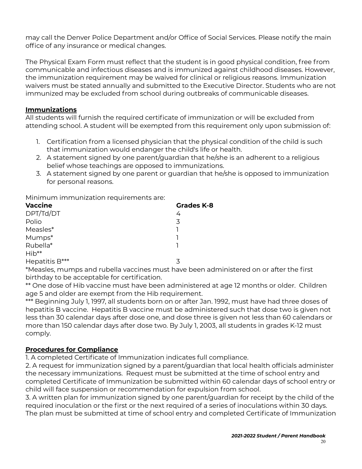may call the Denver Police Department and/or Office of Social Services. Please notify the main office of any insurance or medical changes.

The Physical Exam Form must reflect that the student is in good physical condition, free from communicable and infectious diseases and is immunized against childhood diseases. However, the immunization requirement may be waived for clinical or religious reasons. Immunization waivers must be stated annually and submitted to the Executive Director. Students who are not immunized may be excluded from school during outbreaks of communicable diseases.

### **Immunizations**

All students will furnish the required certificate of immunization or will be excluded from attending school. A student will be exempted from this requirement only upon submission of:

- 1. Certification from a licensed physician that the physical condition of the child is such that immunization would endanger the child's life or health.
- 2. A statement signed by one parent/guardian that he/she is an adherent to a religious belief whose teachings are opposed to immunizations.
- 3. A statement signed by one parent or guardian that he/she is opposed to immunization for personal reasons.

Minimum immunization requirements are:

| <b>Vaccine</b> | <b>Grades K-8</b> |
|----------------|-------------------|
| DPT/Td/DT      | 4                 |
| Polio          | 3                 |
| Measles*       |                   |
| Mumps*         |                   |
| Rubella*       |                   |
| $Hib**$        |                   |
| Hepatitis B*** | ス                 |

\*Measles, mumps and rubella vaccines must have been administered on or after the first birthday to be acceptable for certification.

\*\* One dose of Hib vaccine must have been administered at age 12 months or older. Children age 5 and older are exempt from the Hib requirement.

\*\*\* Beginning July 1, 1997, all students born on or after Jan. 1992, must have had three doses of hepatitis B vaccine. Hepatitis B vaccine must be administered such that dose two is given not less than 30 calendar days after dose one, and dose three is given not less than 60 calendars or more than 150 calendar days after dose two. By July 1, 2003, all students in grades K-12 must comply.

### **Procedures for Compliance**

1. A completed Certificate of Immunization indicates full compliance.

2. A request for immunization signed by a parent/guardian that local health officials administer the necessary immunizations. Request must be submitted at the time of school entry and completed Certificate of Immunization be submitted within 60 calendar days of school entry or child will face suspension or recommendation for expulsion from school.

3. A written plan for immunization signed by one parent/guardian for receipt by the child of the required inoculation or the first or the next required of a series of inoculations within 30 days. The plan must be submitted at time of school entry and completed Certificate of Immunization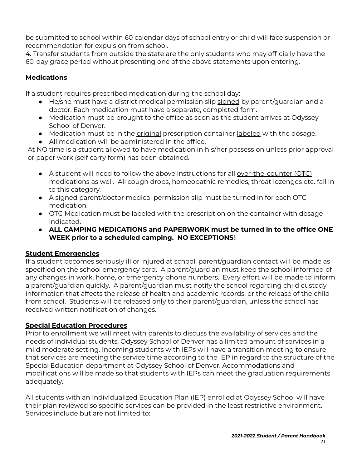be submitted to school within 60 calendar days of school entry or child will face suspension or recommendation for expulsion from school.

4. Transfer students from outside the state are the only students who may officially have the 60-day grace period without presenting one of the above statements upon entering.

# **Medications**

If a student requires prescribed medication during the school day:

- He/she must have a district medical permission slip signed by parent/quardian and a doctor. Each medication must have a separate, completed form.
- Medication must be brought to the office as soon as the student arrives at Odyssey School of Denver.
- Medication must be in the *original* prescription container labeled with the dosage.
- All medication will be administered in the office.

At NO time is a student allowed to have medication in his/her possession unless prior approval or paper work (self carry form) has been obtained.

- A student will need to follow the above instructions for all over-the-counter (OTC) medications as well. All cough drops, homeopathic remedies, throat lozenges etc. fall in to this category.
- A signed parent/doctor medical permission slip must be turned in for each OTC medication.
- OTC Medication must be labeled with the prescription on the container with dosage indicated.
- **ALL CAMPING MEDICATIONS and PAPERWORK must be turned in to the office ONE WEEK prior to a scheduled camping. NO EXCEPTIONS**!!

# **Student Emergencies**

If a student becomes seriously ill or injured at school, parent/guardian contact will be made as specified on the school emergency card. A parent/guardian must keep the school informed of any changes in work, home, or emergency phone numbers. Every effort will be made to inform a parent/guardian quickly. A parent/guardian must notify the school regarding child custody information that affects the release of health and academic records, or the release of the child from school. Students will be released only to their parent/guardian, unless the school has received written notification of changes.

# **Special Education Procedures**

Prior to enrollment we will meet with parents to discuss the availability of services and the needs of individual students. Odyssey School of Denver has a limited amount of services in a mild moderate setting. Incoming students with IEPs will have a transition meeting to ensure that services are meeting the service time according to the IEP in regard to the structure of the Special Education department at Odyssey School of Denver. Accommodations and modifications will be made so that students with IEPs can meet the graduation requirements adequately.

All students with an Individualized Education Plan (IEP) enrolled at Odyssey School will have their plan reviewed so specific services can be provided in the least restrictive environment. Services include but are not limited to: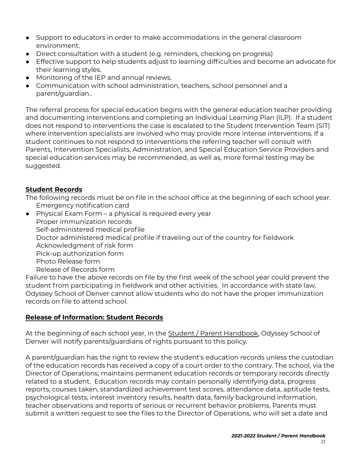- Support to educators in order to make accommodations in the general classroom environment.
- Direct consultation with a student (e.g. reminders, checking on progress)
- Effective support to help students adjust to learning difficulties and become an advocate for their learning styles.
- Monitoring of the IEP and annual reviews.
- **●** Communication with school administration, teachers, school personnel and a parent/guardian..

The referral process for special education begins with the general education teacher providing and documenting interventions and completing an Individual Learning Plan (ILP). If a student does not respond to interventions the case is escalated to the Student Intervention Team (SIT) where intervention specialists are involved who may provide more intense interventions. If a student continues to not respond to interventions the referring teacher will consult with Parents, Intervention Specialists, Administration, and Special Education Service Providers and special education services may be recommended, as well as, more formal testing may be suggested.

# **Student Records**

The following records must be on file in the school office at the beginning of each school year. Emergency notification card

● Physical Exam Form – a physical is required every year Proper immunization records Self-administered medical profile Doctor administered medical profile if traveling out of the country for fieldwork Acknowledgment of risk form Pick-up authorization form Photo Release form Release of Records form

Failure to have the above records on file by the first week of the school year could prevent the student from participating in fieldwork and other activities. In accordance with state law, Odyssey School of Denver cannot allow students who do not have the proper immunization records on file to attend school.

### **Release of Information: Student Records**

At the beginning of each school year, in the Student / Parent Handbook, Odyssey School of Denver will notify parents/guardians of rights pursuant to this policy.

A parent/guardian has the right to review the student's education records unless the custodian of the education records has received a copy of a court order to the contrary. The school, via the Director of Operations, maintains permanent education records or temporary records directly related to a student. Education records may contain personally identifying data, progress reports, courses taken, standardized achievement test scores, attendance data, aptitude tests, psychological tests, interest inventory results, health data, family background information, teacher observations and reports of serious or recurrent behavior problems. Parents must submit a written request to see the files to the Director of Operations, who will set a date and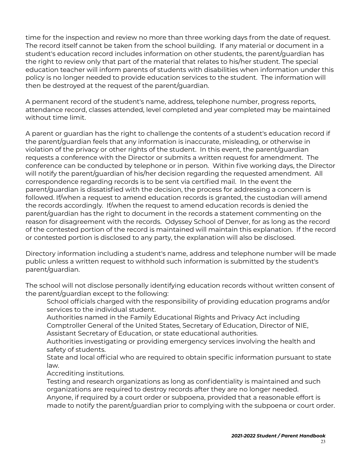time for the inspection and review no more than three working days from the date of request. The record itself cannot be taken from the school building. If any material or document in a student's education record includes information on other students, the parent/guardian has the right to review only that part of the material that relates to his/her student. The special education teacher will inform parents of students with disabilities when information under this policy is no longer needed to provide education services to the student. The information will then be destroyed at the request of the parent/guardian.

A permanent record of the student's name, address, telephone number, progress reports, attendance record, classes attended, level completed and year completed may be maintained without time limit.

A parent or guardian has the right to challenge the contents of a student's education record if the parent/guardian feels that any information is inaccurate, misleading, or otherwise in violation of the privacy or other rights of the student. In this event, the parent/guardian requests a conference with the Director or submits a written request for amendment. The conference can be conducted by telephone or in person. Within five working days, the Director will notify the parent/guardian of his/her decision regarding the requested amendment. All correspondence regarding records is to be sent via certified mail. In the event the parent/guardian is dissatisfied with the decision, the process for addressing a concern is followed. If/when a request to amend education records is granted, the custodian will amend the records accordingly. If/when the request to amend education records is denied the parent/guardian has the right to document in the records a statement commenting on the reason for disagreement with the records. Odyssey School of Denver, for as long as the record of the contested portion of the record is maintained will maintain this explanation. If the record or contested portion is disclosed to any party, the explanation will also be disclosed.

Directory information including a student's name, address and telephone number will be made public unless a written request to withhold such information is submitted by the student's parent/guardian.

The school will not disclose personally identifying education records without written consent of the parent/guardian except to the following:

School officials charged with the responsibility of providing education programs and/or services to the individual student.

Authorities named in the Family Educational Rights and Privacy Act including Comptroller General of the United States, Secretary of Education, Director of NIE, Assistant Secretary of Education, or state educational authorities.

Authorities investigating or providing emergency services involving the health and safety of students.

State and local official who are required to obtain specific information pursuant to state law.

Accrediting institutions.

Testing and research organizations as long as confidentiality is maintained and such organizations are required to destroy records after they are no longer needed. Anyone, if required by a court order or subpoena, provided that a reasonable effort is made to notify the parent/guardian prior to complying with the subpoena or court order.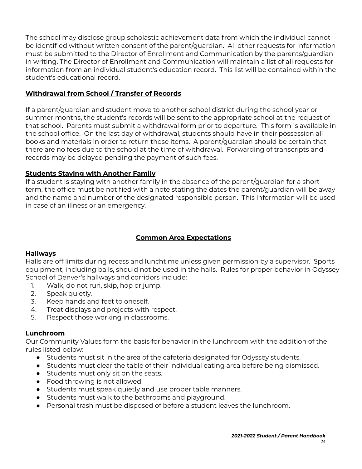The school may disclose group scholastic achievement data from which the individual cannot be identified without written consent of the parent/guardian. All other requests for information must be submitted to the Director of Enrollment and Communication by the parents/guardian in writing. The Director of Enrollment and Communication will maintain a list of all requests for information from an individual student's education record. This list will be contained within the student's educational record.

### **Withdrawal from School / Transfer of Records**

If a parent/guardian and student move to another school district during the school year or summer months, the student's records will be sent to the appropriate school at the request of that school. Parents must submit a withdrawal form prior to departure. This form is available in the school office. On the last day of withdrawal, students should have in their possession all books and materials in order to return those items. A parent/guardian should be certain that there are no fees due to the school at the time of withdrawal. Forwarding of transcripts and records may be delayed pending the payment of such fees.

### **Students Staying with Another Family**

If a student is staying with another family in the absence of the parent/guardian for a short term, the office must be notified with a note stating the dates the parent/guardian will be away and the name and number of the designated responsible person. This information will be used in case of an illness or an emergency.

# **Common Area Expectations**

### **Hallways**

Halls are off limits during recess and lunchtime unless given permission by a supervisor. Sports equipment, including balls, should not be used in the halls. Rules for proper behavior in Odyssey School of Denver's hallways and corridors include:

- 1. Walk, do not run, skip, hop or jump.
- 2. Speak quietly.
- 3. Keep hands and feet to oneself.
- 4. Treat displays and projects with respect.
- 5. Respect those working in classrooms.

### **Lunchroom**

Our Community Values form the basis for behavior in the lunchroom with the addition of the rules listed below:

- Students must sit in the area of the cafeteria designated for Odyssey students.
- Students must clear the table of their individual eating area before being dismissed.
- Students must only sit on the seats.
- Food throwing is not allowed.
- Students must speak quietly and use proper table manners.
- Students must walk to the bathrooms and playground.
- Personal trash must be disposed of before a student leaves the lunchroom.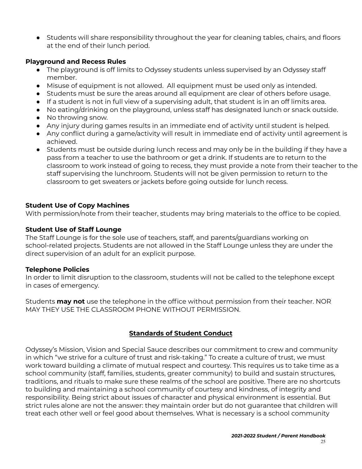● Students will share responsibility throughout the year for cleaning tables, chairs, and floors at the end of their lunch period.

#### **Playground and Recess Rules**

- The playground is off limits to Odyssey students unless supervised by an Odyssey staff member.
- Misuse of equipment is not allowed. All equipment must be used only as intended.
- Students must be sure the areas around all equipment are clear of others before usage.
- If a student is not in full view of a supervising adult, that student is in an off limits area.
- No eating/drinking on the playground, unless staff has designated lunch or snack outside.
- No throwing snow.
- Any injury during games results in an immediate end of activity until student is helped.
- Any conflict during a game/activity will result in immediate end of activity until agreement is achieved.
- Students must be outside during lunch recess and may only be in the building if they have a pass from a teacher to use the bathroom or get a drink. If students are to return to the classroom to work instead of going to recess, they must provide a note from their teacher to the staff supervising the lunchroom. Students will not be given permission to return to the classroom to get sweaters or jackets before going outside for lunch recess.

### **Student Use of Copy Machines**

With permission/note from their teacher, students may bring materials to the office to be copied.

### **Student Use of Staff Lounge**

The Staff Lounge is for the sole use of teachers, staff, and parents/guardians working on school-related projects. Students are not allowed in the Staff Lounge unless they are under the direct supervision of an adult for an explicit purpose.

### **Telephone Policies**

In order to limit disruption to the classroom, students will not be called to the telephone except in cases of emergency.

Students **may not** use the telephone in the office without permission from their teacher. NOR MAY THEY USE THE CLASSROOM PHONE WITHOUT PERMISSION.

# **Standards of Student Conduct**

<span id="page-24-0"></span>Odyssey's Mission, Vision and Special Sauce describes our commitment to crew and community in which "we strive for a culture of trust and risk-taking." To create a culture of trust, we must work toward building a climate of mutual respect and courtesy. This requires us to take time as a school community (staff, families, students, greater community) to build and sustain structures, traditions, and rituals to make sure these realms of the school are positive. There are no shortcuts to building and maintaining a school community of courtesy and kindness, of integrity and responsibility. Being strict about issues of character and physical environment is essential. But strict rules alone are not the answer: they maintain order but do not guarantee that children will treat each other well or feel good about themselves. What is necessary is a school community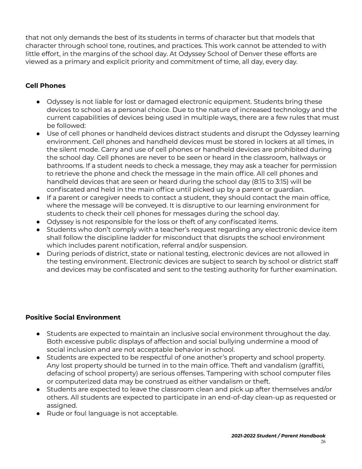that not only demands the best of its students in terms of character but that models that character through school tone, routines, and practices. This work cannot be attended to with little effort, in the margins of the school day. At Odyssey School of Denver these efforts are viewed as a primary and explicit priority and commitment of time, all day, every day.

# **Cell Phones**

- Odyssey is not liable for lost or damaged electronic equipment. Students bring these devices to school as a personal choice. Due to the nature of increased technology and the current capabilities of devices being used in multiple ways, there are a few rules that must be followed:
- Use of cell phones or handheld devices distract students and disrupt the Odyssey learning environment. Cell phones and handheld devices must be stored in lockers at all times, in the silent mode. Carry and use of cell phones or handheld devices are prohibited during the school day. Cell phones are never to be seen or heard in the classroom, hallways or bathrooms. If a student needs to check a message, they may ask a teacher for permission to retrieve the phone and check the message in the main office. All cell phones and handheld devices that are seen or heard during the school day (8:15 to 3:15) will be confiscated and held in the main office until picked up by a parent or guardian.
- If a parent or caregiver needs to contact a student, they should contact the main office, where the message will be conveyed. It is disruptive to our learning environment for students to check their cell phones for messages during the school day.
- Odyssey is not responsible for the loss or theft of any confiscated items.
- Students who don't comply with a teacher's request regarding any electronic device item shall follow the discipline ladder for misconduct that disrupts the school environment which includes parent notification, referral and/or suspension.
- During periods of district, state or national testing, electronic devices are not allowed in the testing environment. Electronic devices are subject to search by school or district staff and devices may be confiscated and sent to the testing authority for further examination.

# **Positive Social Environment**

- Students are expected to maintain an inclusive social environment throughout the day. Both excessive public displays of affection and social bullying undermine a mood of social inclusion and are not acceptable behavior in school.
- Students are expected to be respectful of one another's property and school property. Any lost property should be turned in to the main office. Theft and vandalism (graffiti, defacing of school property) are serious offenses. Tampering with school computer files or computerized data may be construed as either vandalism or theft.
- Students are expected to leave the classroom clean and pick up after themselves and/or others. All students are expected to participate in an end-of-day clean-up as requested or assigned.
- Rude or foul language is not acceptable.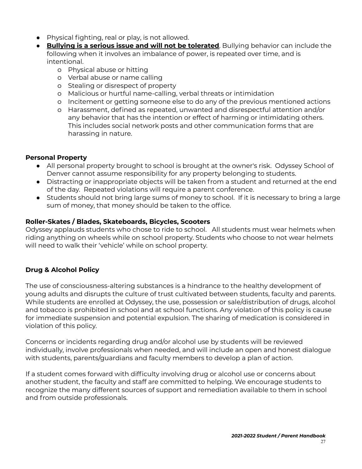- Physical fighting, real or play, is not allowed.
- **Bullying is a serious issue and will not be tolerated**. Bullying behavior can include the following when it involves an imbalance of power, is repeated over time, and is intentional.
	- o Physical abuse or hitting
	- o Verbal abuse or name calling
	- o Stealing or disrespect of property
	- o Malicious or hurtful name-calling, verbal threats or intimidation
	- o Incitement or getting someone else to do any of the previous mentioned actions
	- o Harassment, defined as repeated, unwanted and disrespectful attention and/or any behavior that has the intention or effect of harming or intimidating others. This includes social network posts and other communication forms that are harassing in nature.

# **Personal Property**

- All personal property brought to school is brought at the owner's risk. Odyssey School of Denver cannot assume responsibility for any property belonging to students.
- Distracting or inappropriate objects will be taken from a student and returned at the end of the day. Repeated violations will require a parent conference.
- Students should not bring large sums of money to school. If it is necessary to bring a large sum of money, that money should be taken to the office.

# **Roller-Skates / Blades, Skateboards, Bicycles, Scooters**

Odyssey applauds students who chose to ride to school. All students must wear helmets when riding anything on wheels while on school property. Students who choose to not wear helmets will need to walk their 'vehicle' while on school property.

# **Drug & Alcohol Policy**

The use of consciousness-altering substances is a hindrance to the healthy development of young adults and disrupts the culture of trust cultivated between students, faculty and parents. While students are enrolled at Odyssey, the use, possession or sale/distribution of drugs, alcohol and tobacco is prohibited in school and at school functions. Any violation of this policy is cause for immediate suspension and potential expulsion. The sharing of medication is considered in violation of this policy.

Concerns or incidents regarding drug and/or alcohol use by students will be reviewed individually, involve professionals when needed, and will include an open and honest dialogue with students, parents/guardians and faculty members to develop a plan of action.

If a student comes forward with difficulty involving drug or alcohol use or concerns about another student, the faculty and staff are committed to helping. We encourage students to recognize the many different sources of support and remediation available to them in school and from outside professionals.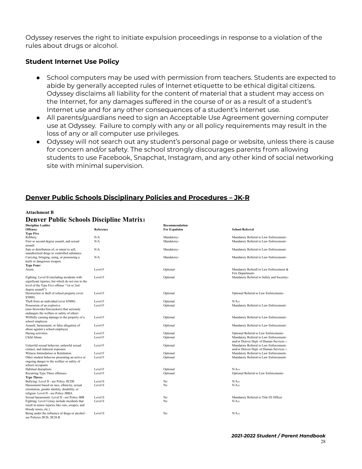Odyssey reserves the right to initiate expulsion proceedings in response to a violation of the rules about drugs or alcohol.

#### **Student Internet Use Policy**

- School computers may be used with permission from teachers. Students are expected to abide by generally accepted rules of Internet etiquette to be ethical digital citizens. Odyssey disclaims all liability for the content of material that a student may access on the Internet, for any damages suffered in the course of or as a result of a student's Internet use and for any other consequences of a student's Internet use.
- All parents/guardians need to sign an Acceptable Use Agreement governing computer use at Odyssey. Failure to comply with any or all policy requirements may result in the loss of any or all computer use privileges.
- Odyssey will not search out any student's personal page or website, unless there is cause for concern and/or safety. The school strongly discourages parents from allowing students to use Facebook, Snapchat, Instagram, and any other kind of social networking site with minimal supervision.

#### **Denver Public Schools Disciplinary Policies and Procedures – JK-R**

#### **Attachment B**

#### **Denver Public Schools Discipline Matrix<sup>1</sup>**

| <b>Discipline Ladder</b>                           |           | Recommendation       |                                            |
|----------------------------------------------------|-----------|----------------------|--------------------------------------------|
| Offense <sub>2</sub>                               | Reference | <b>For Expulsion</b> | <b>School Referral</b>                     |
| <b>Type Five</b>                                   |           |                      |                                            |
| Robbery                                            | N/A       | Mandatorys           | Mandatory Referral to Law Enforcements     |
| First or second degree assault, and sexual         | N/A       | Mandatorys           | Mandatory Referral to Law Enforcements     |
| assault                                            |           |                      |                                            |
| Sale or distribution of, or intent to sell,        | N/A       | Mandatorys           | Mandatory Referral to Law Enforcements     |
| unauthorized drugs or controlled substance         |           |                      |                                            |
| Carrying, bringing, using, or possessing a         | N/A       | Mandatorys           | Mandatory Referral to Law Enforcements     |
| knife or dangerous weapon.                         |           |                      |                                            |
| <b>Type Fourz</b>                                  |           |                      |                                            |
| Arson                                              | Level F   | Optional             | Mandatory Referall to Law Enforcement &    |
|                                                    |           |                      | Fire Departments                           |
| Fighting: Level II (including incidents with       | Level F   | Optional             | Mandatory Referral to Safety and Security4 |
| significant injuries, but which do not rise to the |           |                      |                                            |
| level of the Type Five offense "1st or 2nd         |           |                      |                                            |
| degree assault")                                   |           |                      |                                            |
| Destruction or theft of school property (over      | Level F   | Optional             | Optional Referral to Law Enforcement4      |
| \$5000)                                            |           |                      |                                            |
| Theft from an individual (over \$5000)             | Level F   | Optional             | $N/A_{10}$                                 |
| Possession of an explosive                         | Level F   | Optional             | Mandatory Referral to Law Enforcements     |
| (non-fireworks/firecrackers) that seriously        |           |                      |                                            |
| endangers the welfare or safety of others          |           |                      |                                            |
| Willfully causing damage to the property of a      | Level F   | Optional             | Mandatory Referral to Law Enforcements     |
| school employee                                    |           |                      |                                            |
| Assault, harassment, or false allegation of        | Level F   | Optional             | Mandatory Referral to Law Enforcements     |
| abuse against a school employee                    |           |                      |                                            |
| Hazing activities                                  | Level F   | Optional             | Optional Referral to Law Enforcement4      |
| Child Abuse                                        |           |                      |                                            |
|                                                    | Level F   | Optional             | Mandatory Referral to Law Enforcements     |
|                                                    |           |                      | and/or Denver Dept. of Human Services 11   |
| Unlawful sexual behavior, unlawful sexual          | Level F   | Optional             | Mandatory Referral to Law Enforcements     |
| contact, and indecent exposure                     |           |                      | and/or Denver Dept. of Human Services 11   |
| Witness Intimidation or Retaliation                | Level F   | Optional             | Mandatory Referral to Law Enforcements     |
| Other student behavior presenting an active or     | Level F   | Optional             | Mandatory Referral to Law Enforcements     |
| ongoing danger to the welfare or safety of         |           |                      |                                            |
| school occupants                                   |           |                      |                                            |
| Habitual disruptions                               | Level F   | Optional             | $N/A_{10}$                                 |
| Recurring Type Three offenses6                     | Level F   | Optional             | Optional Referral to Law Enforcement       |
| <b>Type Threes</b>                                 |           |                      |                                            |
| Bullying: Level II - see Policy JICDE              | Level E   | No                   | $N/A_{10}$                                 |
| Harassment based on race, ethnicity, sexual        | Level E   | No                   | $N/A_{10}$                                 |
| orientation, gender identity, disability, or       |           |                      |                                            |
| religion: Level II - see Policy JBBA               |           |                      |                                            |
| Sexual harassment: Level II - see Policy JBB       | Level E   | No                   | Mandatory Referral to Title IX Officer     |
| Fighting: Level I (may include incidents that      | Level E   | No                   | $N/A_{10}$                                 |
| result in minor injuries like cuts, scrapes, and   |           |                      |                                            |
| bloody noses, etc.)                                |           |                      |                                            |
| Being under the influence of drugs or alcohol -    | Level E   | No                   | $N/A_{10}$                                 |
| see Policies JICH, JICH-R                          |           |                      |                                            |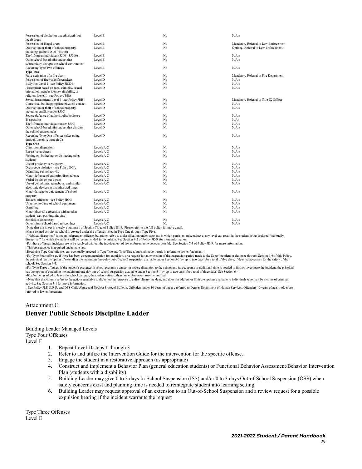| Possession of alcohol or unauthorized (but          | Level E    | No | $N/A_{10}$                                          |
|-----------------------------------------------------|------------|----|-----------------------------------------------------|
| legal) drugs                                        |            |    |                                                     |
| Possession of illegal drugs                         | Level E    | No | Mandatory Referral to Law Enforcement               |
| Destruction or theft of school property,            | Level E    | No | Optional Referral to Law Enforcement4               |
| including graffiti (\$500 - \$5000)                 |            |    |                                                     |
| Theft from an individual (\$500 - \$5000)           | Level E    | No | $N/A_{10}$<br>$N/A_{10}$                            |
| Other school-based misconduct that                  | Level E    | No |                                                     |
| substantially disrupts the school environment       | Level E    | No | $N/A_{10}$                                          |
| Recurring Type Two offenses                         |            |    |                                                     |
| <b>Type Two</b><br>False activation of a fire alarm | Level D    | No |                                                     |
| Possession of fireworks/firecrackers                | Level D    | No | Mandatory Referral to Fire Department<br>$N/A_{10}$ |
| Bullying: Level I - see Policy JICDE                | Level D    | No | $N/A_{10}$                                          |
| Harassment based on race, ethnicity, sexual         | Level D    | No | $N/A_{10}$                                          |
| orientation, gender identity, disability, or        |            |    |                                                     |
| religion: Level I - see Policy JBBA                 |            |    |                                                     |
| Sexual harassment: Level I - see Policy JBB         | Level D    | No | Mandatory Referral to Title IX Officer              |
| Consensual but inappropriate physical contact       | Level D    | No | $N/A_{10}$                                          |
|                                                     | Level D    | No | $N/A_{10}$                                          |
| Destruction or theft of school property,            |            |    |                                                     |
| including graffiti (under \$500)                    | Level D    | No | $N/A_{10}$                                          |
| Severe defiance of authority/disobedience           |            |    |                                                     |
| Trespassing                                         | Level D    | No | N/A9                                                |
| Theft from an individual (under \$500)              | Level D    | No | $N/A_{10}$                                          |
| Other school-based misconduct that disrupts         | Level D    | No | $N/A_{10}$                                          |
| the school environment                              |            |    |                                                     |
| Recurring Type One offenses (after going            | Level D    | No | $N/A_{10}$                                          |
| through Levels A through C)                         |            |    |                                                     |
| <b>Type One</b>                                     |            |    |                                                     |
| Classroom disruption                                | Levels A-C | No | $N/A_{10}$                                          |
| <b>Excessive tardiness</b>                          | Levels A-C | No | $N/A_{10}$                                          |
| Picking on, bothering, or distracting other         | Levels A-C | No | $N/A_{10}$                                          |
| students                                            |            |    |                                                     |
| Use of profanity or vulgarity                       | Levels A-C | No | $N/A_{10}$                                          |
| Dress code violation - see Policy JICA              | Levels A-C | No | $N/A_{10}$                                          |
| Disrupting school activity                          | Levels A-C | No | $N/A_{10}$                                          |
| Minor defiance of authority/disobedience            | Levels A-C | No | $N/A_{10}$                                          |
| Verbal insults or put-downs                         | Levels A-C | No | $N/A_{10}$                                          |
| Use of cell phones, gameboys, and similar           | Levels A-C | No | $N/A_{10}$                                          |
| electronic devices at unauthorized times            |            |    |                                                     |
| Minor damage or defacement of school                | Levels A-C | No | $N/A_{10}$                                          |
| property                                            |            |    |                                                     |
| Tobacco offenses - see Policy JICG                  | Levels A-C | No | $N/A_{10}$                                          |
| Unauthorized use of school equipment                | Levels A-C | No | $N/A_{10}$                                          |
| Gambling                                            | Levels A-C | No | $N/A_{10}$                                          |
| Minor physical aggression with another              | Levels A-C | No | $N/A_{10}$                                          |
| student (e.g., pushing, shoving)                    |            |    |                                                     |
| Scholastic dishonesty                               | Levels A-C | No | $N/A_{10}$                                          |
| Other minor school-based misconduct                 | Levels A-C | No | $N/A_{10}$                                          |

<sup>1</sup> Note that this sheet is merely a summary of Section Three of Policy JK-R. Please refer to the full policy for more detail.

<sup>2</sup> Gang-related activity at school is covered under the offenses listed in Type One through Type Five.

s "Habitual disruption" is not an independent offense, but rather refers to a classification under state law in which persistent misconduct at any level can result in the student being declared "habitually<br>disruptive," for

<sup>4</sup> For these offenses, incidents are to be resolved without the involvement of law enforcement whenever possible. See Section 7-3 of Policy JK-R for more information.

<sup>5</sup> This consequence is required under state law.

6 Recurring Type One offenses can eventually proceed to Type Two and Type Three, but shall never result in referral to law enforcement

<sup>7</sup> For Type Four offenses, if there has been a recommendation for expulsion, or a request for an extension of the suspension period made to the Superintendent or designee through Section 6-6 of this Policy, the principal has the option of extending the maximum three-day out-of-school suspension available under Section 3-1 by up to two days, for a total of five days, if deemed necessary for the safety of the school. See Section 6-4.

s For Type Three offenses, if the student's presence in school presents a danger or severe disruption to the school and its occupants or additional time is needed to further investigate the incident, the principal has the option of extending the maximum one-day out-of-school suspension available under Section 3-1 by up to two days, for a total of three days. See Section 6-4.<br>»If, after being asked to leave the school campus, the stu

<sup>10</sup> Note that this column refers to the actions available to the school in response to a disciplinary incident, and does not address or limit the options available to individuals who may be victims of criminal activity. See Section 3-1 for more information.

11 See Policy JLF, JLF-R, and DPS Child Abuse and Neglect Protocol Bulletin. Offenders under 10 years of age are referred to Denver Department of Human Services. Offenders 10 years of age or older are referred to law enforcement.

#### Attachment C **Denver Public Schools Discipline Ladder**

Building Leader Managed Levels

Type Four Offenses

Level F

- 1. Repeat Level D steps 1 through 3
- 2. Refer to and utilize the Intervention Guide for the intervention for the specific offense.
- 3. Engage the student in a restorative approach (as appropriate)
- 4. Construct and implement a Behavior Plan (general education students) or Functional Behavior Assessment/Behavior Intervention Plan (students with a disability)
- 5. Building Leader may give 0 to 3 days In-School Suspension (ISS) and/or 0 to 3 days Out-of-School Suspension (OSS) when safety concerns exist and planning time is needed to reintegrate student into learning setting
- 6. Building Leader may request approval of an extension to an Out-of-School Suspension and a review request for a possible expulsion hearing if the incident warrants the request

Type Three Offenses Level E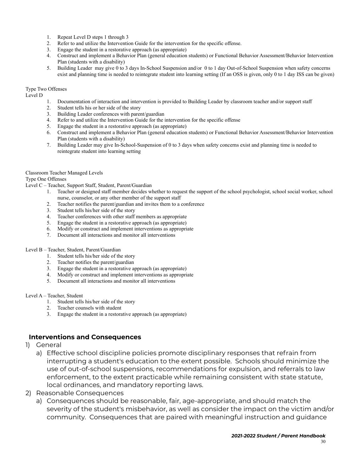- 1. Repeat Level D steps 1 through 3<br>2. Refer to and utilize the Intervention
- 2. Refer to and utilize the Intervention Guide for the intervention for the specific offense.<br>3. Engage the student in a restorative approach (as appropriate)
- 3. Engage the student in a restorative approach (as appropriate) 4. Construct and implement a Behavior Plan (general education
- 4. Construct and implement a Behavior Plan (general education students) or Functional Behavior Assessment/Behavior Intervention Plan (students with a disability)
- 5. Building Leader may give 0 to 3 days In-School Suspension and/or 0 to 1 day Out-of-School Suspension when safety concerns exist and planning time is needed to reintegrate student into learning setting (If an OSS is given, only 0 to 1 day ISS can be given)

#### Type Two Offenses

Level D

- 1. Documentation of interaction and intervention is provided to Building Leader by classroom teacher and/or support staff
- 2. Student tells his or her side of the story
- 3. Building Leader conferences with parent/guardian
- 4. Refer to and utilize the Intervention Guide for the intervention for the specific offense
- 5. Engage the student in a restorative approach (as appropriate)
- 6. Construct and implement a Behavior Plan (general education students) or Functional Behavior Assessment/Behavior Intervention Plan (students with a disability)
- 7. Building Leader may give In-School-Suspension of 0 to 3 days when safety concerns exist and planning time is needed to reintegrate student into learning setting

#### Classroom Teacher Managed Levels

#### Type One Offenses

Level C – Teacher, Support Staff, Student, Parent/Guardian

- 1. Teacher or designed staff member decides whether to request the support of the school psychologist, school social worker, school nurse, counselor, or any other member of the support staff
- 2. Teacher notifies the parent/guardian and invites them to a conference
- 3. Student tells his/her side of the story
- 4. Teacher conferences with other staff members as appropriate
- 5. Engage the student in a restorative approach (as appropriate)
- 6. Modify or construct and implement interventions as appropriate
- 7. Document all interactions and monitor all interventions

#### Level B – Teacher, Student, Parent/Guardian

- 1. Student tells his/her side of the story
- 2. Teacher notifies the parent/guardian
- 3. Engage the student in a restorative approach (as appropriate)
- 4. Modify or construct and implement interventions as appropriate
- 5. Document all interactions and monitor all interventions

#### Level A – Teacher, Student

- 1. Student tells his/her side of the story
- 2. Teacher counsels with student
- 3. Engage the student in a restorative approach (as appropriate)

#### **Interventions and Consequences**

- 1) General
	- a) Effective school discipline policies promote disciplinary responses that refrain from interrupting a student's education to the extent possible. Schools should minimize the use of out-of-school suspensions, recommendations for expulsion, and referrals to law enforcement, to the extent practicable while remaining consistent with state statute, local ordinances, and mandatory reporting laws.
- 2) Reasonable Consequences
	- a) Consequences should be reasonable, fair, age-appropriate, and should match the severity of the student's misbehavior, as well as consider the impact on the victim and/or community. Consequences that are paired with meaningful instruction and guidance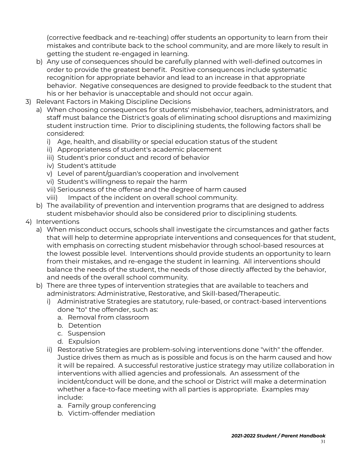(corrective feedback and re-teaching) offer students an opportunity to learn from their mistakes and contribute back to the school community, and are more likely to result in getting the student re-engaged in learning.

- b) Any use of consequences should be carefully planned with well-defined outcomes in order to provide the greatest benefit. Positive consequences include systematic recognition for appropriate behavior and lead to an increase in that appropriate behavior. Negative consequences are designed to provide feedback to the student that his or her behavior is unacceptable and should not occur again.
- 3) Relevant Factors in Making Discipline Decisions
	- a) When choosing consequences for students' misbehavior, teachers, administrators, and staff must balance the District's goals of eliminating school disruptions and maximizing student instruction time. Prior to disciplining students, the following factors shall be considered:
		- i) Age, health, and disability or special education status of the student
		- ii) Appropriateness of student's academic placement
		- iii) Student's prior conduct and record of behavior
		- iv) Student's attitude
		- v) Level of parent/guardian's cooperation and involvement
		- vi) Student's willingness to repair the harm
		- vii) Seriousness of the offense and the degree of harm caused
		- viii) Impact of the incident on overall school community.
	- b) The availability of prevention and intervention programs that are designed to address student misbehavior should also be considered prior to disciplining students.
- 4) Interventions
	- a) When misconduct occurs, schools shall investigate the circumstances and gather facts that will help to determine appropriate interventions and consequences for that student, with emphasis on correcting student misbehavior through school-based resources at the lowest possible level. Interventions should provide students an opportunity to learn from their mistakes, and re-engage the student in learning. All interventions should balance the needs of the student, the needs of those directly affected by the behavior, and needs of the overall school community.
	- b) There are three types of intervention strategies that are available to teachers and administrators: Administrative, Restorative, and Skill-based/Therapeutic.
		- i) Administrative Strategies are statutory, rule-based, or contract-based interventions done "to" the offender, such as:
			- a. Removal from classroom
			- b. Detention
			- c. Suspension
			- d. Expulsion
		- ii) Restorative Strategies are problem-solving interventions done "with" the offender. Justice drives them as much as is possible and focus is on the harm caused and how it will be repaired. A successful restorative justice strategy may utilize collaboration in interventions with allied agencies and professionals. An assessment of the incident/conduct will be done, and the school or District will make a determination whether a face-to-face meeting with all parties is appropriate. Examples may include:
			- a. Family group conferencing
			- b. Victim-offender mediation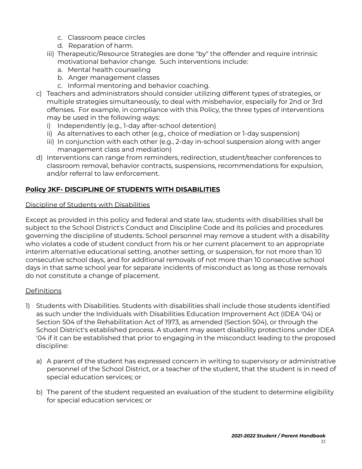- c. Classroom peace circles
- d. Reparation of harm.
- iii) Therapeutic/Resource Strategies are done "by" the offender and require intrinsic motivational behavior change. Such interventions include:
	- a. Mental health counseling
	- b. Anger management classes
	- c. Informal mentoring and behavior coaching.
- c) Teachers and administrators should consider utilizing different types of strategies, or multiple strategies simultaneously, to deal with misbehavior, especially for 2nd or 3rd offenses. For example, in compliance with this Policy, the three types of interventions may be used in the following ways:
	- i) Independently (e.g., 1-day after-school detention)
	- ii) As alternatives to each other (e.g., choice of mediation or 1-day suspension)
	- iii) In conjunction with each other (e.g., 2-day in-school suspension along with anger management class and mediation)
- d) Interventions can range from reminders, redirection, student/teacher conferences to classroom removal, behavior contracts, suspensions, recommendations for expulsion, and/or referral to law enforcement.

# **Policy JKF- DISCIPLINE OF STUDENTS WITH DISABILITIES**

#### Discipline of Students with Disabilities

Except as provided in this policy and federal and state law, students with disabilities shall be subject to the School District's Conduct and Discipline Code and its policies and procedures governing the discipline of students. School personnel may remove a student with a disability who violates a code of student conduct from his or her current placement to an appropriate interim alternative educational setting, another setting, or suspension, for not more than 10 consecutive school days, and for additional removals of not more than 10 consecutive school days in that same school year for separate incidents of misconduct as long as those removals do not constitute a change of placement.

### Definitions

- 1) Students with Disabilities. Students with disabilities shall include those students identified as such under the Individuals with Disabilities Education Improvement Act (IDEA '04) or Section 504 of the Rehabilitation Act of 1973, as amended (Section 504), or through the School District's established process. A student may assert disability protections under IDEA '04 if it can be established that prior to engaging in the misconduct leading to the proposed discipline:
	- a) A parent of the student has expressed concern in writing to supervisory or administrative personnel of the School District, or a teacher of the student, that the student is in need of special education services; or
	- b) The parent of the student requested an evaluation of the student to determine eligibility for special education services; or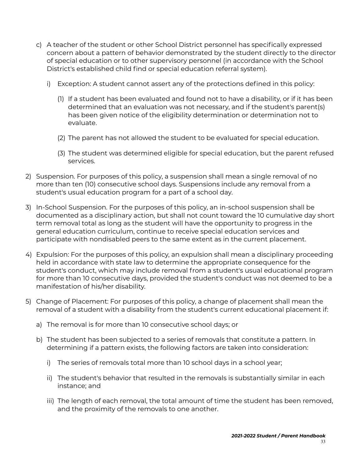- c) A teacher of the student or other School District personnel has specifically expressed concern about a pattern of behavior demonstrated by the student directly to the director of special education or to other supervisory personnel (in accordance with the School District's established child find or special education referral system).
	- i) Exception: A student cannot assert any of the protections defined in this policy:
		- (1) If a student has been evaluated and found not to have a disability, or if it has been determined that an evaluation was not necessary, and if the student's parent(s) has been given notice of the eligibility determination or determination not to evaluate.
		- (2) The parent has not allowed the student to be evaluated for special education.
		- (3) The student was determined eligible for special education, but the parent refused services.
- 2) Suspension. For purposes of this policy, a suspension shall mean a single removal of no more than ten (10) consecutive school days. Suspensions include any removal from a student's usual education program for a part of a school day.
- 3) In-School Suspension. For the purposes of this policy, an in-school suspension shall be documented as a disciplinary action, but shall not count toward the 10 cumulative day short term removal total as long as the student will have the opportunity to progress in the general education curriculum, continue to receive special education services and participate with nondisabled peers to the same extent as in the current placement.
- 4) Expulsion: For the purposes of this policy, an expulsion shall mean a disciplinary proceeding held in accordance with state law to determine the appropriate consequence for the student's conduct, which may include removal from a student's usual educational program for more than 10 consecutive days, provided the student's conduct was not deemed to be a manifestation of his/her disability.
- 5) Change of Placement: For purposes of this policy, a change of placement shall mean the removal of a student with a disability from the student's current educational placement if:
	- a) The removal is for more than 10 consecutive school days; or
	- b) The student has been subjected to a series of removals that constitute a pattern. In determining if a pattern exists, the following factors are taken into consideration:
		- i) The series of removals total more than 10 school days in a school year;
		- ii) The student's behavior that resulted in the removals is substantially similar in each instance; and
		- iii) The length of each removal, the total amount of time the student has been removed, and the proximity of the removals to one another.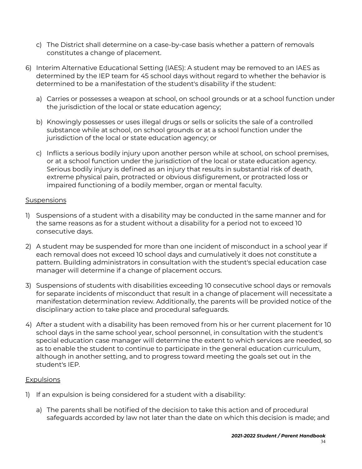- c) The District shall determine on a case-by-case basis whether a pattern of removals constitutes a change of placement.
- 6) Interim Alternative Educational Setting (IAES): A student may be removed to an IAES as determined by the IEP team for 45 school days without regard to whether the behavior is determined to be a manifestation of the student's disability if the student:
	- a) Carries or possesses a weapon at school, on school grounds or at a school function under the jurisdiction of the local or state education agency;
	- b) Knowingly possesses or uses illegal drugs or sells or solicits the sale of a controlled substance while at school, on school grounds or at a school function under the jurisdiction of the local or state education agency; or
	- c) Inflicts a serious bodily injury upon another person while at school, on school premises, or at a school function under the jurisdiction of the local or state education agency. Serious bodily injury is defined as an injury that results in substantial risk of death, extreme physical pain, protracted or obvious disfigurement, or protracted loss or impaired functioning of a bodily member, organ or mental faculty.

#### **Suspensions**

- 1) Suspensions of a student with a disability may be conducted in the same manner and for the same reasons as for a student without a disability for a period not to exceed 10 consecutive days.
- 2) A student may be suspended for more than one incident of misconduct in a school year if each removal does not exceed 10 school days and cumulatively it does not constitute a pattern. Building administrators in consultation with the student's special education case manager will determine if a change of placement occurs.
- 3) Suspensions of students with disabilities exceeding 10 consecutive school days or removals for separate incidents of misconduct that result in a change of placement will necessitate a manifestation determination review. Additionally, the parents will be provided notice of the disciplinary action to take place and procedural safeguards.
- 4) After a student with a disability has been removed from his or her current placement for 10 school days in the same school year, school personnel, in consultation with the student's special education case manager will determine the extent to which services are needed, so as to enable the student to continue to participate in the general education curriculum, although in another setting, and to progress toward meeting the goals set out in the student's IEP.

#### **Expulsions**

- 1) If an expulsion is being considered for a student with a disability:
	- a) The parents shall be notified of the decision to take this action and of procedural safeguards accorded by law not later than the date on which this decision is made; and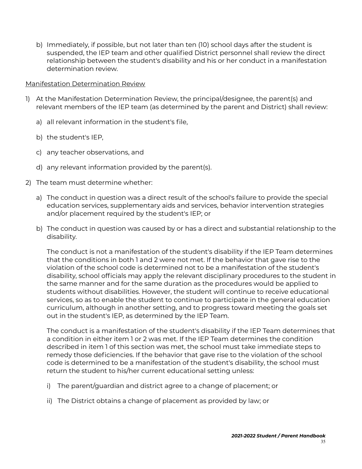b) Immediately, if possible, but not later than ten (10) school days after the student is suspended, the IEP team and other qualified District personnel shall review the direct relationship between the student's disability and his or her conduct in a manifestation determination review.

#### Manifestation Determination Review

- 1) At the Manifestation Determination Review, the principal/designee, the parent(s) and relevant members of the IEP team (as determined by the parent and District) shall review:
	- a) all relevant information in the student's file,
	- b) the student's IEP,
	- c) any teacher observations, and
	- d) any relevant information provided by the parent(s).
- 2) The team must determine whether:
	- a) The conduct in question was a direct result of the school's failure to provide the special education services, supplementary aids and services, behavior intervention strategies and/or placement required by the student's IEP; or
	- b) The conduct in question was caused by or has a direct and substantial relationship to the disability.

The conduct is not a manifestation of the student's disability if the IEP Team determines that the conditions in both 1 and 2 were not met. If the behavior that gave rise to the violation of the school code is determined not to be a manifestation of the student's disability, school officials may apply the relevant disciplinary procedures to the student in the same manner and for the same duration as the procedures would be applied to students without disabilities. However, the student will continue to receive educational services, so as to enable the student to continue to participate in the general education curriculum, although in another setting, and to progress toward meeting the goals set out in the student's IEP, as determined by the IEP Team.

The conduct is a manifestation of the student's disability if the IEP Team determines that a condition in either item 1 or 2 was met. If the IEP Team determines the condition described in item 1 of this section was met, the school must take immediate steps to remedy those deficiencies. If the behavior that gave rise to the violation of the school code is determined to be a manifestation of the student's disability, the school must return the student to his/her current educational setting unless:

- i) The parent/guardian and district agree to a change of placement; or
- ii) The District obtains a change of placement as provided by law; or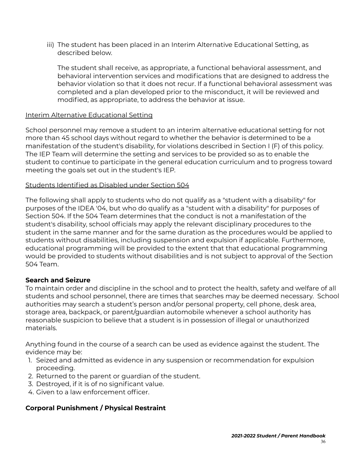iii) The student has been placed in an Interim Alternative Educational Setting, as described below.

The student shall receive, as appropriate, a functional behavioral assessment, and behavioral intervention services and modifications that are designed to address the behavior violation so that it does not recur. If a functional behavioral assessment was completed and a plan developed prior to the misconduct, it will be reviewed and modified, as appropriate, to address the behavior at issue.

#### Interim Alternative Educational Setting

School personnel may remove a student to an interim alternative educational setting for not more than 45 school days without regard to whether the behavior is determined to be a manifestation of the student's disability, for violations described in Section I (F) of this policy. The IEP Team will determine the setting and services to be provided so as to enable the student to continue to participate in the general education curriculum and to progress toward meeting the goals set out in the student's IEP.

#### Students Identified as Disabled under Section 504

The following shall apply to students who do not qualify as a "student with a disability" for purposes of the IDEA '04, but who do qualify as a "student with a disability" for purposes of Section 504. If the 504 Team determines that the conduct is not a manifestation of the student's disability, school officials may apply the relevant disciplinary procedures to the student in the same manner and for the same duration as the procedures would be applied to students without disabilities, including suspension and expulsion if applicable. Furthermore, educational programming will be provided to the extent that that educational programming would be provided to students without disabilities and is not subject to approval of the Section 504 Team.

### **Search and Seizure**

To maintain order and discipline in the school and to protect the health, safety and welfare of all students and school personnel, there are times that searches may be deemed necessary. School authorities may search a student's person and/or personal property, cell phone, desk area, storage area, backpack, or parent/guardian automobile whenever a school authority has reasonable suspicion to believe that a student is in possession of illegal or unauthorized materials.

Anything found in the course of a search can be used as evidence against the student. The evidence may be:

- 1. Seized and admitted as evidence in any suspension or recommendation for expulsion proceeding.
- 2. Returned to the parent or guardian of the student.
- 3. Destroyed, if it is of no significant value.
- 4. Given to a law enforcement officer.

### **Corporal Punishment / Physical Restraint**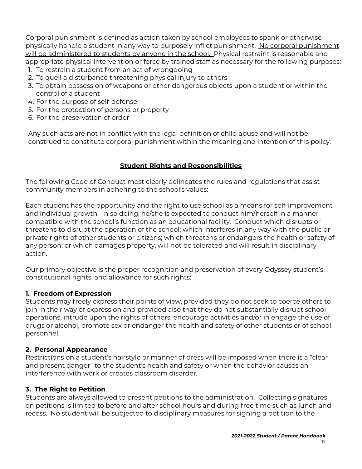Corporal punishment is defined as action taken by school employees to spank or otherwise physically handle a student in any way to purposely inflict punishment. No corporal punishment will be administered to students by anyone in the school. Physical restraint is reasonable and appropriate physical intervention or force by trained staff as necessary for the following purposes:

- 1. To restrain a student from an act of wrongdoing
- 2. To quell a disturbance threatening physical injury to others
- 3. To obtain possession of weapons or other dangerous objects upon a student or within the control of a student
- 4. For the purpose of self-defense
- 5. For the protection of persons or property
- 6. For the preservation of order

Any such acts are not in conflict with the legal definition of child abuse and will not be construed to constitute corporal punishment within the meaning and intention of this policy.

# **Student Rights and Responsibilities**

<span id="page-36-0"></span>The following Code of Conduct most clearly delineates the rules and regulations that assist community members in adhering to the school's values:

Each student has the opportunity and the right to use school as a means for self-improvement and individual growth. In so doing, he/she is expected to conduct him/herself in a manner compatible with the school's function as an educational facility. Conduct which disrupts or threatens to disrupt the operation of the school; which interferes in any way with the public or private rights of other students or citizens; which threatens or endangers the health or safety of any person; or which damages property, will not be tolerated and will result in disciplinary action.

Our primary objective is the proper recognition and preservation of every Odyssey student's constitutional rights, and allowance for such rights:

# **1. Freedom of Expression**

Students may freely express their points of view, provided they do not seek to coerce others to join in their way of expression and provided also that they do not substantially disrupt school operations, intrude upon the rights of others, encourage activities and/or in engage the use of drugs or alcohol, promote sex or endanger the health and safety of other students or of school personnel.

# **2. Personal Appearance**

Restrictions on a student's hairstyle or manner of dress will be imposed when there is a "clear and present danger" to the student's health and safety or when the behavior causes an interference with work or creates classroom disorder.

# **3. The Right to Petition**

Students are always allowed to present petitions to the administration. Collecting signatures on petitions is limited to before and after school hours and during free time such as lunch and recess. No student will be subjected to disciplinary measures for signing a petition to the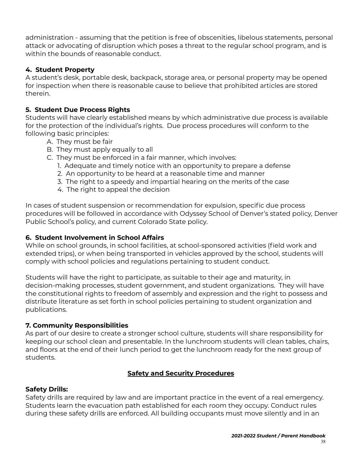administration - assuming that the petition is free of obscenities, libelous statements, personal attack or advocating of disruption which poses a threat to the regular school program, and is within the bounds of reasonable conduct.

# **4. Student Property**

A student's desk, portable desk, backpack, storage area, or personal property may be opened for inspection when there is reasonable cause to believe that prohibited articles are stored therein.

# **5. Student Due Process Rights**

Students will have clearly established means by which administrative due process is available for the protection of the individual's rights. Due process procedures will conform to the following basic principles:

- A. They must be fair
- B. They must apply equally to all
- C. They must be enforced in a fair manner, which involves:
	- 1. Adequate and timely notice with an opportunity to prepare a defense
	- 2. An opportunity to be heard at a reasonable time and manner
	- 3. The right to a speedy and impartial hearing on the merits of the case
	- 4. The right to appeal the decision

In cases of student suspension or recommendation for expulsion, specific due process procedures will be followed in accordance with Odyssey School of Denver's stated policy, Denver Public School's policy, and current Colorado State policy.

### **6. Student Involvement in School Affairs**

While on school grounds, in school facilities, at school-sponsored activities (field work and extended trips), or when being transported in vehicles approved by the school, students will comply with school policies and regulations pertaining to student conduct.

Students will have the right to participate, as suitable to their age and maturity, in decision-making processes, student government, and student organizations. They will have the constitutional rights to freedom of assembly and expression and the right to possess and distribute literature as set forth in school policies pertaining to student organization and publications.

### **7. Community Responsibilities**

As part of our desire to create a stronger school culture, students will share responsibility for keeping our school clean and presentable. In the lunchroom students will clean tables, chairs, and floors at the end of their lunch period to get the lunchroom ready for the next group of students.

# **Safety and Security Procedures**

# **Safety Drills:**

Safety drills are required by law and are important practice in the event of a real emergency. Students learn the evacuation path established for each room they occupy. Conduct rules during these safety drills are enforced. All building occupants must move silently and in an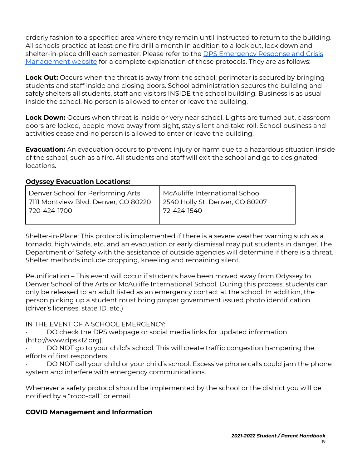orderly fashion to a specified area where they remain until instructed to return to the building. All schools practice at least one fire drill a month in addition to a lock out, lock down and shelter-in-place drill each semester. Please refer to the DPS [Emergency](https://safety.dpsk12.org/emergency-management-resources/) Response and Crisis [Management](https://safety.dpsk12.org/emergency-management-resources/) website for a complete explanation of these protocols. They are as follows:

**Lock Out:** Occurs when the threat is away from the school; perimeter is secured by bringing students and staff inside and closing doors. School administration secures the building and safely shelters all students, staff and visitors INSIDE the school building. Business is as usual inside the school. No person is allowed to enter or leave the building.

**Lock Down:** Occurs when threat is inside or very near school. Lights are turned out, classroom doors are locked, people move away from sight, stay silent and take roll. School business and activities cease and no person is allowed to enter or leave the building.

**Evacuation:** An evacuation occurs to prevent injury or harm due to a hazardous situation inside of the school, such as a fire. All students and staff will exit the school and go to designated locations.

#### **Odyssey Evacuation Locations:**

| Denver School for Performing Arts    | McAuliffe International School  |
|--------------------------------------|---------------------------------|
| 7111 Montview Blvd. Denver, CO 80220 | 2540 Holly St. Denver, CO 80207 |
| l 720-424-1700                       | 72-424-1540                     |

Shelter-in-Place: This protocol is implemented if there is a severe weather warning such as a tornado, high winds, etc. and an evacuation or early dismissal may put students in danger. The Department of Safety with the assistance of outside agencies will determine if there is a threat. Shelter methods include dropping, kneeling and remaining silent.

Reunification – This event will occur if students have been moved away from Odyssey to Denver School of the Arts or McAuliffe International School. During this process, students can only be released to an adult listed as an emergency contact at the school. In addition, the person picking up a student must bring proper government issued photo identification (driver's licenses, state ID, etc.)

IN THE EVENT OF A SCHOOL EMERGENCY:

DO check the DPS webpage or social media links for updated information (http://www.dpsk12.org).

DO NOT go to your child's school. This will create traffic congestion hampering the efforts of first responders.

· DO NOT call your child or your child's school. Excessive phone calls could jam the phone system and interfere with emergency communications.

Whenever a safety protocol should be implemented by the school or the district you will be notified by a "robo-call" or email.

### <span id="page-38-0"></span>**COVID Management and Information**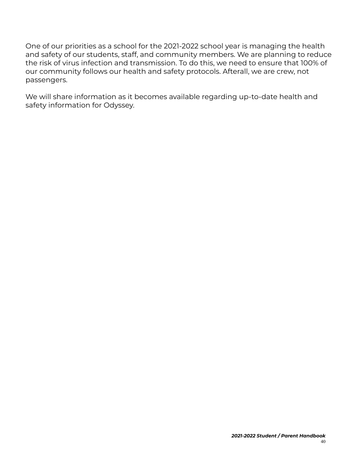One of our priorities as a school for the 2021-2022 school year is managing the health and safety of our students, staff, and community members. We are planning to reduce the risk of virus infection and transmission. To do this, we need to ensure that 100% of our community follows our health and safety protocols. Afterall, we are crew, not passengers.

We will share information as it becomes available regarding up-to-date health and safety information for Odyssey.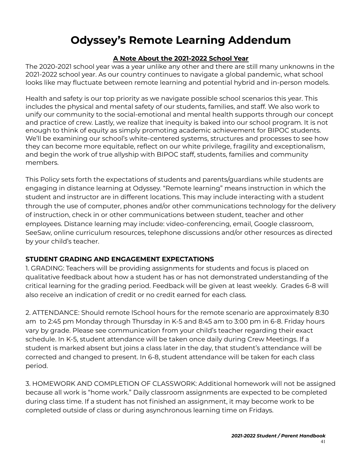# **Odyssey's Remote Learning Addendum**

# **A Note About the 2021-2022 School Year**

<span id="page-40-0"></span>The 2020-2021 school year was a year unlike any other and there are still many unknowns in the 2021-2022 school year. As our country continues to navigate a global pandemic, what school looks like may fluctuate between remote learning and potential hybrid and in-person models.

Health and safety is our top priority as we navigate possible school scenarios this year. This includes the physical and mental safety of our students, families, and staff. We also work to unify our community to the social-emotional and mental health supports through our concept and practice of crew. Lastly, we realize that inequity is baked into our school program. It is not enough to think of equity as simply promoting academic achievement for BIPOC students. We'll be examining our school's white-centered systems, structures and processes to see how they can become more equitable, reflect on our white privilege, fragility and exceptionalism, and begin the work of true allyship with BIPOC staff, students, families and community members.

This Policy sets forth the expectations of students and parents/guardians while students are engaging in distance learning at Odyssey. "Remote learning" means instruction in which the student and instructor are in different locations. This may include interacting with a student through the use of computer, phones and/or other communications technology for the delivery of instruction, check in or other communications between student, teacher and other employees. Distance learning may include: video-conferencing, email, Google classroom, SeeSaw, online curriculum resources, telephone discussions and/or other resources as directed by your child's teacher.

# **STUDENT GRADING AND ENGAGEMENT EXPECTATIONS**

1. GRADING: Teachers will be providing assignments for students and focus is placed on qualitative feedback about how a student has or has not demonstrated understanding of the critical learning for the grading period. Feedback will be given at least weekly. Grades 6-8 will also receive an indication of credit or no credit earned for each class.

2. ATTENDANCE: Should remote lSchool hours for the remote scenario are approximately 8:30 am to 2:45 pm Monday through Thursday in K-5 and 8:45 am to 3:00 pm in 6-8. Friday hours vary by grade. Please see communication from your child's teacher regarding their exact schedule. In K-5, student attendance will be taken once daily during Crew Meetings. If a student is marked absent but joins a class later in the day, that student's attendance will be corrected and changed to present. In 6-8, student attendance will be taken for each class period.

3. HOMEWORK AND COMPLETION OF CLASSWORK: Additional homework will not be assigned because all work is "home work." Daily classroom assignments are expected to be completed during class time. If a student has not finished an assignment, it may become work to be completed outside of class or during asynchronous learning time on Fridays.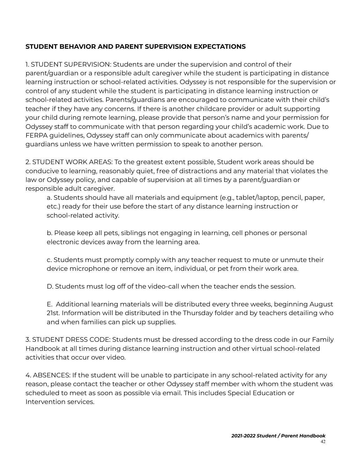# **STUDENT BEHAVIOR AND PARENT SUPERVISION EXPECTATIONS**

1. STUDENT SUPERVISION: Students are under the supervision and control of their parent/guardian or a responsible adult caregiver while the student is participating in distance learning instruction or school-related activities. Odyssey is not responsible for the supervision or control of any student while the student is participating in distance learning instruction or school-related activities. Parents/guardians are encouraged to communicate with their child's teacher if they have any concerns. If there is another childcare provider or adult supporting your child during remote learning, please provide that person's name and your permission for Odyssey staff to communicate with that person regarding your child's academic work. Due to FERPA guidelines, Odyssey staff can only communicate about academics with parents/ guardians unless we have written permission to speak to another person.

2. STUDENT WORK AREAS: To the greatest extent possible, Student work areas should be conducive to learning, reasonably quiet, free of distractions and any material that violates the law or Odyssey policy, and capable of supervision at all times by a parent/guardian or responsible adult caregiver.

a. Students should have all materials and equipment (e.g., tablet/laptop, pencil, paper, etc.) ready for their use before the start of any distance learning instruction or school-related activity.

b. Please keep all pets, siblings not engaging in learning, cell phones or personal electronic devices away from the learning area.

c. Students must promptly comply with any teacher request to mute or unmute their device microphone or remove an item, individual, or pet from their work area.

D. Students must log off of the video-call when the teacher ends the session.

E. Additional learning materials will be distributed every three weeks, beginning August 21st. Information will be distributed in the Thursday folder and by teachers detailing who and when families can pick up supplies.

3. STUDENT DRESS CODE: Students must be dressed according to the dress code in our Family Handbook at all times during distance learning instruction and other virtual school-related activities that occur over video.

4. ABSENCES: If the student will be unable to participate in any school-related activity for any reason, please contact the teacher or other Odyssey staff member with whom the student was scheduled to meet as soon as possible via email. This includes Special Education or Intervention services.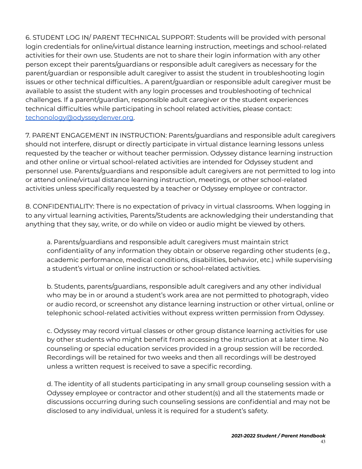6. STUDENT LOG IN/ PARENT TECHNICAL SUPPORT: Students will be provided with personal login credentials for online/virtual distance learning instruction, meetings and school-related activities for their own use. Students are not to share their login information with any other person except their parents/guardians or responsible adult caregivers as necessary for the parent/guardian or responsible adult caregiver to assist the student in troubleshooting login issues or other technical difficulties.. A parent/guardian or responsible adult caregiver must be available to assist the student with any login processes and troubleshooting of technical challenges. If a parent/guardian, responsible adult caregiver or the student experiences technical difficulties while participating in school related activities, please contact: [techonology@odysseydenver.org.](mailto:techonology@odysseydenver.org)

7. PARENT ENGAGEMENT IN INSTRUCTION: Parents/guardians and responsible adult caregivers should not interfere, disrupt or directly participate in virtual distance learning lessons unless requested by the teacher or without teacher permission. Odyssey distance learning instruction and other online or virtual school-related activities are intended for Odyssey student and personnel use. Parents/guardians and responsible adult caregivers are not permitted to log into or attend online/virtual distance learning instruction, meetings, or other school-related activities unless specifically requested by a teacher or Odyssey employee or contractor.

8. CONFIDENTIALITY: There is no expectation of privacy in virtual classrooms. When logging in to any virtual learning activities, Parents/Students are acknowledging their understanding that anything that they say, write, or do while on video or audio might be viewed by others.

a. Parents/guardians and responsible adult caregivers must maintain strict confidentiality of any information they obtain or observe regarding other students (e.g., academic performance, medical conditions, disabilities, behavior, etc.) while supervising a student's virtual or online instruction or school-related activities.

b. Students, parents/guardians, responsible adult caregivers and any other individual who may be in or around a student's work area are not permitted to photograph, video or audio record, or screenshot any distance learning instruction or other virtual, online or telephonic school-related activities without express written permission from Odyssey.

c. Odyssey may record virtual classes or other group distance learning activities for use by other students who might benefit from accessing the instruction at a later time. No counseling or special education services provided in a group session will be recorded. Recordings will be retained for two weeks and then all recordings will be destroyed unless a written request is received to save a specific recording.

d. The identity of all students participating in any small group counseling session with a Odyssey employee or contractor and other student(s) and all the statements made or discussions occurring during such counseling sessions are confidential and may not be disclosed to any individual, unless it is required for a student's safety.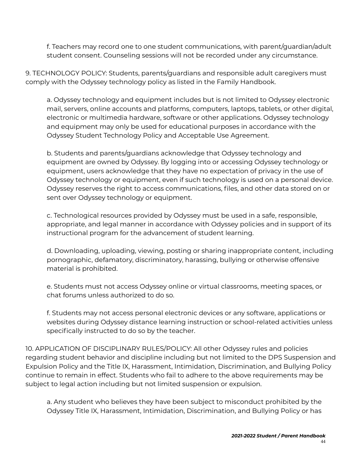f. Teachers may record one to one student communications, with parent/guardian/adult student consent. Counseling sessions will not be recorded under any circumstance.

9. TECHNOLOGY POLICY: Students, parents/guardians and responsible adult caregivers must comply with the Odyssey technology policy as listed in the Family Handbook.

a. Odyssey technology and equipment includes but is not limited to Odyssey electronic mail, servers, online accounts and platforms, computers, laptops, tablets, or other digital, electronic or multimedia hardware, software or other applications. Odyssey technology and equipment may only be used for educational purposes in accordance with the Odyssey Student Technology Policy and Acceptable Use Agreement.

b. Students and parents/guardians acknowledge that Odyssey technology and equipment are owned by Odyssey. By logging into or accessing Odyssey technology or equipment, users acknowledge that they have no expectation of privacy in the use of Odyssey technology or equipment, even if such technology is used on a personal device. Odyssey reserves the right to access communications, files, and other data stored on or sent over Odyssey technology or equipment.

c. Technological resources provided by Odyssey must be used in a safe, responsible, appropriate, and legal manner in accordance with Odyssey policies and in support of its instructional program for the advancement of student learning.

d. Downloading, uploading, viewing, posting or sharing inappropriate content, including pornographic, defamatory, discriminatory, harassing, bullying or otherwise offensive material is prohibited.

e. Students must not access Odyssey online or virtual classrooms, meeting spaces, or chat forums unless authorized to do so.

f. Students may not access personal electronic devices or any software, applications or websites during Odyssey distance learning instruction or school-related activities unless specifically instructed to do so by the teacher.

10. APPLICATION OF DISCIPLINARY RULES/POLICY: All other Odyssey rules and policies regarding student behavior and discipline including but not limited to the DPS Suspension and Expulsion Policy and the Title IX, Harassment, Intimidation, Discrimination, and Bullying Policy continue to remain in effect. Students who fail to adhere to the above requirements may be subject to legal action including but not limited suspension or expulsion.

a. Any student who believes they have been subject to misconduct prohibited by the Odyssey Title IX, Harassment, Intimidation, Discrimination, and Bullying Policy or has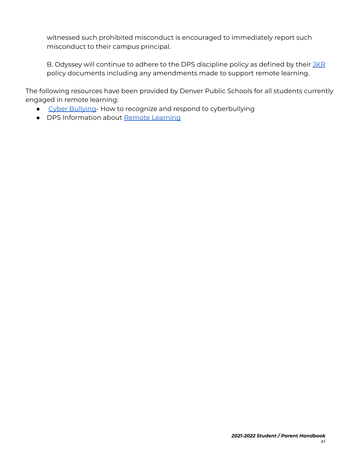witnessed such prohibited misconduct is encouraged to immediately report such misconduct to their campus principal.

B. Odyssey will continue to adhere to the DPS discipline policy as defined by their [JKR](https://www.dpsk12.org/wp-content/uploads/JK-R-Student_Conduct-Discipline_Procedures_English.pdf) policy documents including any amendments made to support remote learning.

The following resources have been provided by Denver Public Schools for all students currently engaged in remote learning:

- Cyber [Bullying-](https://docs.google.com/document/d/19TAYXLUpsqY8nfmWEBnx0nimLyGX-c5ZtRaie957S_c/edit) How to recognize and respond to cyberbullying
- DPS Information about Remote [Learning](https://sites.google.com/dpsk12.net/dpsremotelearning/home?pli=1&authuser=2)